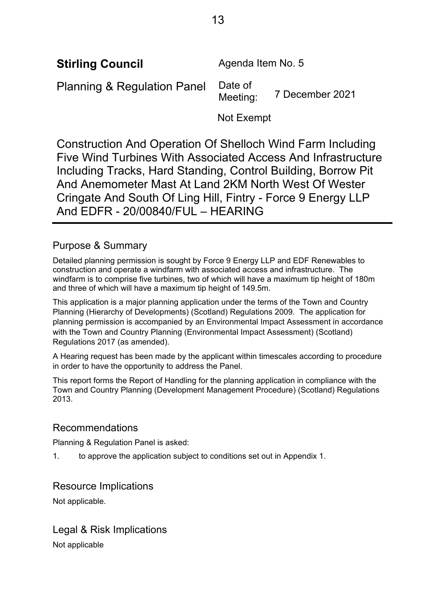**Stirling Council Agenda Item No. 5** 

Planning & Regulation Panel Date of

7 December 2021

Not Exempt

Construction And Operation Of Shelloch Wind Farm Including Five Wind Turbines With Associated Access And Infrastructure Including Tracks, Hard Standing, Control Building, Borrow Pit And Anemometer Mast At Land 2KM North West Of Wester Cringate And South Of Ling Hill, Fintry - Force 9 Energy LLP And EDFR - 20/00840/FUL – HEARING

# Purpose & Summary

Detailed planning permission is sought by Force 9 Energy LLP and EDF Renewables to construction and operate a windfarm with associated access and infrastructure. The windfarm is to comprise five turbines, two of which will have a maximum tip height of 180m and three of which will have a maximum tip height of 149.5m.

This application is a major planning application under the terms of the Town and Country Planning (Hierarchy of Developments) (Scotland) Regulations 2009. The application for planning permission is accompanied by an Environmental Impact Assessment in accordance with the Town and Country Planning (Environmental Impact Assessment) (Scotland) Regulations 2017 (as amended).

A Hearing request has been made by the applicant within timescales according to procedure in order to have the opportunity to address the Panel.

This report forms the Report of Handling for the planning application in compliance with the Town and Country Planning (Development Management Procedure) (Scotland) Regulations 2013.

# Recommendations

Planning & Regulation Panel is asked:

1. to approve the application subject to conditions set out in Appendix 1.

# Resource Implications

Not applicable.

Legal & Risk Implications Not applicable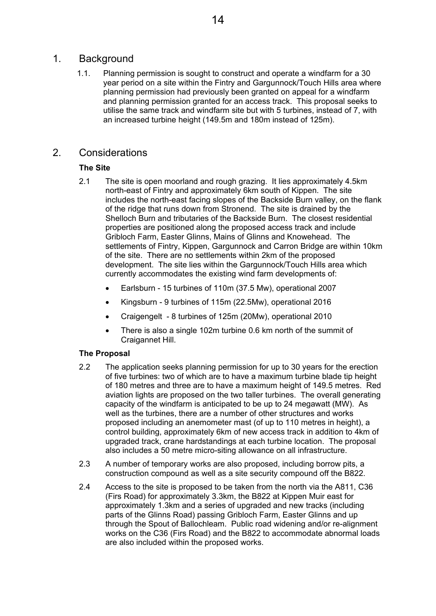## 1. Background

1.1. Planning permission is sought to construct and operate a windfarm for a 30 year period on a site within the Fintry and Gargunnock/Touch Hills area where planning permission had previously been granted on appeal for a windfarm and planning permission granted for an access track. This proposal seeks to utilise the same track and windfarm site but with 5 turbines, instead of 7, with an increased turbine height (149.5m and 180m instead of 125m).

# 2. Considerations

## **The Site**

- 2.1 The site is open moorland and rough grazing. It lies approximately 4.5km north-east of Fintry and approximately 6km south of Kippen. The site includes the north-east facing slopes of the Backside Burn valley, on the flank of the ridge that runs down from Stronend. The site is drained by the Shelloch Burn and tributaries of the Backside Burn. The closest residential properties are positioned along the proposed access track and include Gribloch Farm, Easter Glinns, Mains of Glinns and Knowehead. The settlements of Fintry, Kippen, Gargunnock and Carron Bridge are within 10km of the site. There are no settlements within 2km of the proposed development. The site lies within the Gargunnock/Touch Hills area which currently accommodates the existing wind farm developments of:
	- Earlsburn 15 turbines of 110m (37.5 Mw), operational 2007
	- Kingsburn 9 turbines of 115m (22.5Mw), operational 2016
	- Craigengelt 8 turbines of 125m (20Mw), operational 2010
	- There is also a single 102m turbine 0.6 km north of the summit of Craigannet Hill.

## **The Proposal**

- 2.2 The application seeks planning permission for up to 30 years for the erection of five turbines: two of which are to have a maximum turbine blade tip height of 180 metres and three are to have a maximum height of 149.5 metres. Red aviation lights are proposed on the two taller turbines. The overall generating capacity of the windfarm is anticipated to be up to 24 megawatt (MW). As well as the turbines, there are a number of other structures and works proposed including an anemometer mast (of up to 110 metres in height), a control building, approximately 6km of new access track in addition to 4km of upgraded track, crane hardstandings at each turbine location. The proposal also includes a 50 metre micro-siting allowance on all infrastructure.
- 2.3 A number of temporary works are also proposed, including borrow pits, a construction compound as well as a site security compound off the B822.
- 2.4 Access to the site is proposed to be taken from the north via the A811, C36 (Firs Road) for approximately 3.3km, the B822 at Kippen Muir east for approximately 1.3km and a series of upgraded and new tracks (including parts of the Glinns Road) passing Gribloch Farm, Easter Glinns and up through the Spout of Ballochleam. Public road widening and/or re-alignment works on the C36 (Firs Road) and the B822 to accommodate abnormal loads are also included within the proposed works.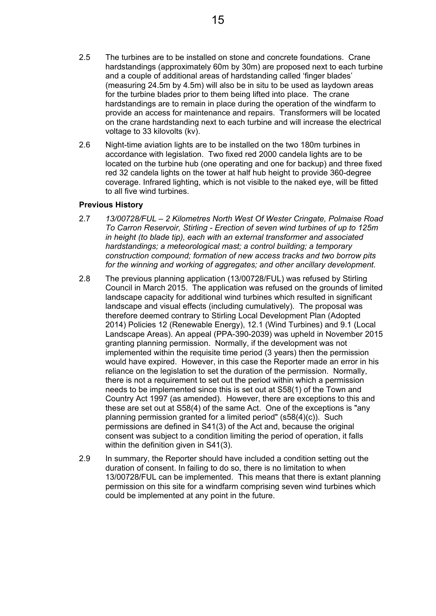- 2.5 The turbines are to be installed on stone and concrete foundations. Crane hardstandings (approximately 60m by 30m) are proposed next to each turbine and a couple of additional areas of hardstanding called 'finger blades' (measuring 24.5m by 4.5m) will also be in situ to be used as laydown areas for the turbine blades prior to them being lifted into place. The crane hardstandings are to remain in place during the operation of the windfarm to provide an access for maintenance and repairs. Transformers will be located on the crane hardstanding next to each turbine and will increase the electrical voltage to 33 kilovolts (kv).
- 2.6 Night-time aviation lights are to be installed on the two 180m turbines in accordance with legislation. Two fixed red 2000 candela lights are to be located on the turbine hub (one operating and one for backup) and three fixed red 32 candela lights on the tower at half hub height to provide 360-degree coverage. Infrared lighting, which is not visible to the naked eye, will be fitted to all five wind turbines.

## **Previous History**

- 2.7 *13/00728/FUL 2 Kilometres North West Of Wester Cringate, Polmaise Road To Carron Reservoir, Stirling - Erection of seven wind turbines of up to 125m in height (to blade tip), each with an external transformer and associated hardstandings; a meteorological mast; a control building; a temporary construction compound; formation of new access tracks and two borrow pits for the winning and working of aggregates; and other ancillary development.*
- 2.8 The previous planning application (13/00728/FUL) was refused by Stirling Council in March 2015. The application was refused on the grounds of limited landscape capacity for additional wind turbines which resulted in significant landscape and visual effects (including cumulatively). The proposal was therefore deemed contrary to Stirling Local Development Plan (Adopted 2014) Policies 12 (Renewable Energy), 12.1 (Wind Turbines) and 9.1 (Local Landscape Areas). An appeal (PPA-390-2039) was upheld in November 2015 granting planning permission. Normally, if the development was not implemented within the requisite time period (3 years) then the permission would have expired. However, in this case the Reporter made an error in his reliance on the legislation to set the duration of the permission. Normally, there is not a requirement to set out the period within which a permission needs to be implemented since this is set out at S58(1) of the Town and Country Act 1997 (as amended). However, there are exceptions to this and these are set out at S58(4) of the same Act. One of the exceptions is "any planning permission granted for a limited period" (s58(4)(c)). Such permissions are defined in S41(3) of the Act and, because the original consent was subject to a condition limiting the period of operation, it falls within the definition given in S41(3).
- 2.9 In summary, the Reporter should have included a condition setting out the duration of consent. In failing to do so, there is no limitation to when 13/00728/FUL can be implemented. This means that there is extant planning permission on this site for a windfarm comprising seven wind turbines which could be implemented at any point in the future.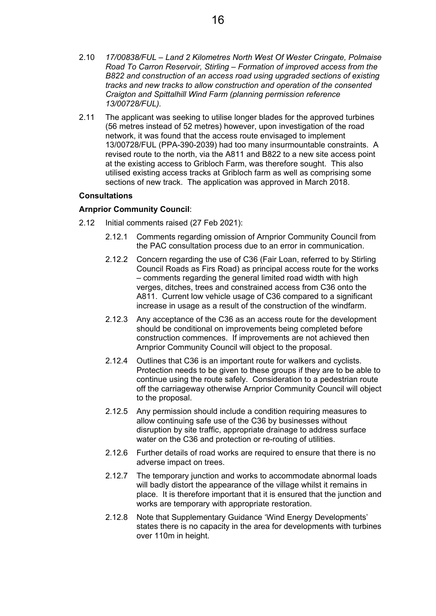- 2.10 *17/00838/FUL Land 2 Kilometres North West Of Wester Cringate, Polmaise Road To Carron Reservoir, Stirling – Formation of improved access from the B822 and construction of an access road using upgraded sections of existing tracks and new tracks to allow construction and operation of the consented Craigton and Spittalhill Wind Farm (planning permission reference 13/00728/FUL).*
- 2.11 The applicant was seeking to utilise longer blades for the approved turbines (56 metres instead of 52 metres) however, upon investigation of the road network, it was found that the access route envisaged to implement 13/00728/FUL (PPA-390-2039) had too many insurmountable constraints. A revised route to the north, via the A811 and B822 to a new site access point at the existing access to Gribloch Farm, was therefore sought. This also utilised existing access tracks at Gribloch farm as well as comprising some sections of new track. The application was approved in March 2018.

#### **Consultations**

#### **Arnprior Community Council**:

- 2.12 Initial comments raised (27 Feb 2021):
	- 2.12.1 Comments regarding omission of Arnprior Community Council from the PAC consultation process due to an error in communication.
	- 2.12.2 Concern regarding the use of C36 (Fair Loan, referred to by Stirling Council Roads as Firs Road) as principal access route for the works – comments regarding the general limited road width with high verges, ditches, trees and constrained access from C36 onto the A811. Current low vehicle usage of C36 compared to a significant increase in usage as a result of the construction of the windfarm.
	- 2.12.3 Any acceptance of the C36 as an access route for the development should be conditional on improvements being completed before construction commences. If improvements are not achieved then Arnprior Community Council will object to the proposal.
	- 2.12.4 Outlines that C36 is an important route for walkers and cyclists. Protection needs to be given to these groups if they are to be able to continue using the route safely. Consideration to a pedestrian route off the carriageway otherwise Arnprior Community Council will object to the proposal.
	- 2.12.5 Any permission should include a condition requiring measures to allow continuing safe use of the C36 by businesses without disruption by site traffic, appropriate drainage to address surface water on the C36 and protection or re-routing of utilities.
	- 2.12.6 Further details of road works are required to ensure that there is no adverse impact on trees.
	- 2.12.7 The temporary junction and works to accommodate abnormal loads will badly distort the appearance of the village whilst it remains in place. It is therefore important that it is ensured that the junction and works are temporary with appropriate restoration.
	- 2.12.8 Note that Supplementary Guidance 'Wind Energy Developments' states there is no capacity in the area for developments with turbines over 110m in height.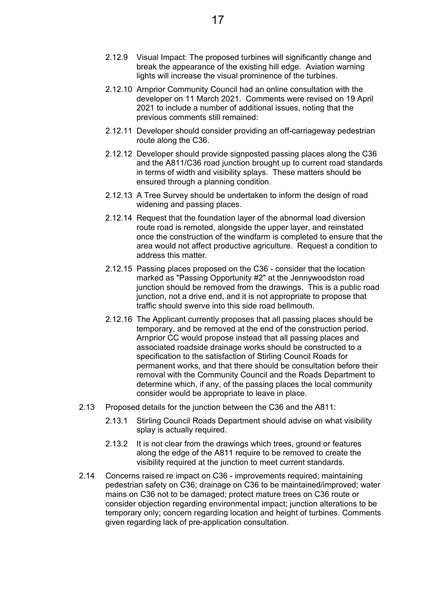- 2.12.9 Visual Impact: The proposed turbines will significantly change and break the appearance of the existing hill edge. Aviation warning lights will increase the visual prominence of the turbines.
- 2.12.10 Arnprior Community Council had an online consultation with the developer on 11 March 2021. Comments were revised on 19 April 2021 to include a number of additional issues, noting that the previous comments still remained:
- 2.12.11 Developer should consider providing an off-carriageway pedestrian route along the C36.
- 2.12.12 Developer should provide signposted passing places along the C36 and the A811/C36 road junction brought up to current road standards in terms of width and visibility splays. These matters should be ensured through a planning condition.
- 2.12.13 A Tree Survey should be undertaken to inform the design of road widening and passing places.
- 2.12.14 Request that the foundation layer of the abnormal load diversion route road is remoted, alongside the upper layer, and reinstated once the construction of the windfarm is completed to ensure that the area would not affect productive agriculture. Request a condition to address this matter.
- 2.12.15 Passing places proposed on the C36 consider that the location marked as "Passing Opportunity #2" at the Jennywoodston road junction should be removed from the drawings. This is a public road junction, not a drive end, and it is not appropriate to propose that traffic should swerve into this side road bellmouth.
- 2.12.16 The Applicant currently proposes that all passing places should be temporary, and be removed at the end of the construction period. Arnprior CC would propose instead that all passing places and associated roadside drainage works should be constructed to a specification to the satisfaction of Stirling Council Roads for permanent works, and that there should be consultation before their removal with the Community Council and the Roads Department to determine which, if any, of the passing places the local community consider would be appropriate to leave in place.
- 2.13 Proposed details for the junction between the C36 and the A811:
	- 2.13.1 Stirling Council Roads Department should advise on what visibility splay is actually required.
	- 2.13.2 It is not clear from the drawings which trees, ground or features along the edge of the A811 require to be removed to create the visibility required at the junction to meet current standards.
- 2.14 Concerns raised re impact on C36 improvements required; maintaining pedestrian safety on C36; drainage on C36 to be maintained/improved; water mains on C36 not to be damaged; protect mature trees on C36 route or consider objection regarding environmental impact; junction alterations to be temporary only; concern regarding location and height of turbines. Comments given regarding lack of pre-application consultation.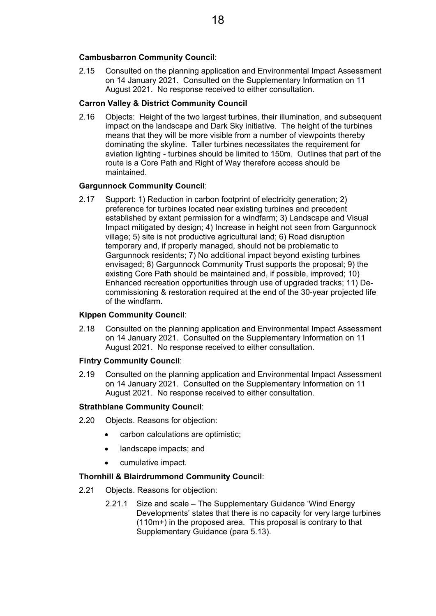#### **Cambusbarron Community Council**:

2.15 Consulted on the planning application and Environmental Impact Assessment on 14 January 2021. Consulted on the Supplementary Information on 11 August 2021. No response received to either consultation.

#### **Carron Valley & District Community Council**

2.16 Objects: Height of the two largest turbines, their illumination, and subsequent impact on the landscape and Dark Sky initiative. The height of the turbines means that they will be more visible from a number of viewpoints thereby dominating the skyline. Taller turbines necessitates the requirement for aviation lighting - turbines should be limited to 150m. Outlines that part of the route is a Core Path and Right of Way therefore access should be maintained.

#### **Gargunnock Community Council**:

2.17 Support: 1) Reduction in carbon footprint of electricity generation; 2) preference for turbines located near existing turbines and precedent established by extant permission for a windfarm; 3) Landscape and Visual Impact mitigated by design; 4) Increase in height not seen from Gargunnock village; 5) site is not productive agricultural land; 6) Road disruption temporary and, if properly managed, should not be problematic to Gargunnock residents; 7) No additional impact beyond existing turbines envisaged; 8) Gargunnock Community Trust supports the proposal; 9) the existing Core Path should be maintained and, if possible, improved; 10) Enhanced recreation opportunities through use of upgraded tracks; 11) Decommissioning & restoration required at the end of the 30-year projected life of the windfarm.

## **Kippen Community Council**:

2.18 Consulted on the planning application and Environmental Impact Assessment on 14 January 2021. Consulted on the Supplementary Information on 11 August 2021. No response received to either consultation.

#### **Fintry Community Council**:

2.19 Consulted on the planning application and Environmental Impact Assessment on 14 January 2021. Consulted on the Supplementary Information on 11 August 2021. No response received to either consultation.

## **Strathblane Community Council**:

- 2.20 Objects. Reasons for objection:
	- carbon calculations are optimistic;
	- landscape impacts; and
	- cumulative impact.

#### **Thornhill & Blairdrummond Community Council**:

- 2.21 Objects. Reasons for objection:
	- 2.21.1 Size and scale The Supplementary Guidance 'Wind Energy Developments' states that there is no capacity for very large turbines (110m+) in the proposed area. This proposal is contrary to that Supplementary Guidance (para 5.13).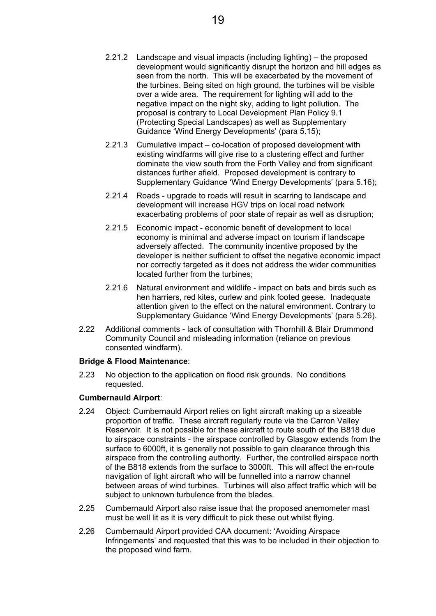- 2.21.2 Landscape and visual impacts (including lighting) the proposed development would significantly disrupt the horizon and hill edges as seen from the north. This will be exacerbated by the movement of the turbines. Being sited on high ground, the turbines will be visible over a wide area. The requirement for lighting will add to the negative impact on the night sky, adding to light pollution. The proposal is contrary to Local Development Plan Policy 9.1 (Protecting Special Landscapes) as well as Supplementary Guidance 'Wind Energy Developments' (para 5.15);
- 2.21.3 Cumulative impact co-location of proposed development with existing windfarms will give rise to a clustering effect and further dominate the view south from the Forth Valley and from significant distances further afield. Proposed development is contrary to Supplementary Guidance 'Wind Energy Developments' (para 5.16);
- 2.21.4 Roads upgrade to roads will result in scarring to landscape and development will increase HGV trips on local road network exacerbating problems of poor state of repair as well as disruption;
- 2.21.5 Economic impact economic benefit of development to local economy is minimal and adverse impact on tourism if landscape adversely affected. The community incentive proposed by the developer is neither sufficient to offset the negative economic impact nor correctly targeted as it does not address the wider communities located further from the turbines;
- 2.21.6 Natural environment and wildlife impact on bats and birds such as hen harriers, red kites, curlew and pink footed geese. Inadequate attention given to the effect on the natural environment. Contrary to Supplementary Guidance 'Wind Energy Developments' (para 5.26).
- 2.22 Additional comments lack of consultation with Thornhill & Blair Drummond Community Council and misleading information (reliance on previous consented windfarm).

## **Bridge & Flood Maintenance**:

2.23 No objection to the application on flood risk grounds. No conditions requested.

## **Cumbernauld Airport**:

- 2.24 Object: Cumbernauld Airport relies on light aircraft making up a sizeable proportion of traffic. These aircraft regularly route via the Carron Valley Reservoir. It is not possible for these aircraft to route south of the B818 due to airspace constraints - the airspace controlled by Glasgow extends from the surface to 6000ft, it is generally not possible to gain clearance through this airspace from the controlling authority. Further, the controlled airspace north of the B818 extends from the surface to 3000ft. This will affect the en-route navigation of light aircraft who will be funnelled into a narrow channel between areas of wind turbines. Turbines will also affect traffic which will be subject to unknown turbulence from the blades.
- 2.25 Cumbernauld Airport also raise issue that the proposed anemometer mast must be well lit as it is very difficult to pick these out whilst flying.
- 2.26 Cumbernauld Airport provided CAA document: 'Avoiding Airspace Infringements' and requested that this was to be included in their objection to the proposed wind farm.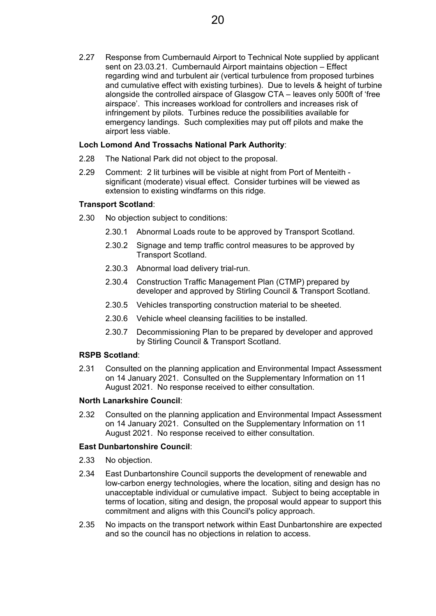2.27 Response from Cumbernauld Airport to Technical Note supplied by applicant sent on 23.03.21. Cumbernauld Airport maintains objection – Effect regarding wind and turbulent air (vertical turbulence from proposed turbines and cumulative effect with existing turbines). Due to levels & height of turbine alongside the controlled airspace of Glasgow CTA – leaves only 500ft of 'free airspace'. This increases workload for controllers and increases risk of infringement by pilots. Turbines reduce the possibilities available for emergency landings. Such complexities may put off pilots and make the airport less viable.

## **Loch Lomond And Trossachs National Park Authority**:

- 2.28 The National Park did not object to the proposal.
- 2.29 Comment: 2 lit turbines will be visible at night from Port of Menteith significant (moderate) visual effect. Consider turbines will be viewed as extension to existing windfarms on this ridge.

#### **Transport Scotland**:

- 2.30 No objection subject to conditions:
	- 2.30.1 Abnormal Loads route to be approved by Transport Scotland.
	- 2.30.2 Signage and temp traffic control measures to be approved by Transport Scotland.
	- 2.30.3 Abnormal load delivery trial-run.
	- 2.30.4 Construction Traffic Management Plan (CTMP) prepared by developer and approved by Stirling Council & Transport Scotland.
	- 2.30.5 Vehicles transporting construction material to be sheeted.
	- 2.30.6 Vehicle wheel cleansing facilities to be installed.
	- 2.30.7 Decommissioning Plan to be prepared by developer and approved by Stirling Council & Transport Scotland.

#### **RSPB Scotland**:

2.31 Consulted on the planning application and Environmental Impact Assessment on 14 January 2021. Consulted on the Supplementary Information on 11 August 2021. No response received to either consultation.

## **North Lanarkshire Council**:

2.32 Consulted on the planning application and Environmental Impact Assessment on 14 January 2021. Consulted on the Supplementary Information on 11 August 2021. No response received to either consultation.

#### **East Dunbartonshire Council**:

- 2.33 No objection.
- 2.34 East Dunbartonshire Council supports the development of renewable and low-carbon energy technologies, where the location, siting and design has no unacceptable individual or cumulative impact. Subject to being acceptable in terms of location, siting and design, the proposal would appear to support this commitment and aligns with this Council's policy approach.
- 2.35 No impacts on the transport network within East Dunbartonshire are expected and so the council has no objections in relation to access.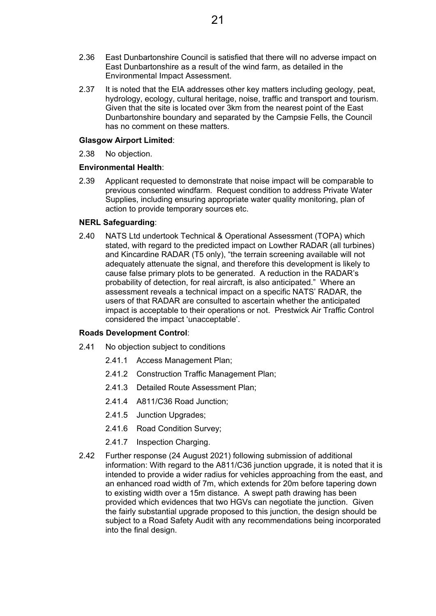- 2.36 East Dunbartonshire Council is satisfied that there will no adverse impact on East Dunbartonshire as a result of the wind farm, as detailed in the Environmental Impact Assessment.
- 2.37 It is noted that the EIA addresses other key matters including geology, peat, hydrology, ecology, cultural heritage, noise, traffic and transport and tourism. Given that the site is located over 3km from the nearest point of the East Dunbartonshire boundary and separated by the Campsie Fells, the Council has no comment on these matters.

#### **Glasgow Airport Limited**:

2.38 No objection.

#### **Environmental Health**:

2.39 Applicant requested to demonstrate that noise impact will be comparable to previous consented windfarm. Request condition to address Private Water Supplies, including ensuring appropriate water quality monitoring, plan of action to provide temporary sources etc.

#### **NERL Safeguarding**:

2.40 NATS Ltd undertook Technical & Operational Assessment (TOPA) which stated, with regard to the predicted impact on Lowther RADAR (all turbines) and Kincardine RADAR (T5 only), "the terrain screening available will not adequately attenuate the signal, and therefore this development is likely to cause false primary plots to be generated. A reduction in the RADAR's probability of detection, for real aircraft, is also anticipated." Where an assessment reveals a technical impact on a specific NATS' RADAR, the users of that RADAR are consulted to ascertain whether the anticipated impact is acceptable to their operations or not. Prestwick Air Traffic Control considered the impact 'unacceptable'.

#### **Roads Development Control**:

- 2.41 No objection subject to conditions
	- 2.41.1 Access Management Plan;
	- 2.41.2 Construction Traffic Management Plan;
	- 2.41.3 Detailed Route Assessment Plan;
	- 2.41.4 A811/C36 Road Junction;
	- 2.41.5 Junction Upgrades;
	- 2.41.6 Road Condition Survey;
	- 2.41.7 Inspection Charging.
- 2.42 Further response (24 August 2021) following submission of additional information: With regard to the A811/C36 junction upgrade, it is noted that it is intended to provide a wider radius for vehicles approaching from the east, and an enhanced road width of 7m, which extends for 20m before tapering down to existing width over a 15m distance. A swept path drawing has been provided which evidences that two HGVs can negotiate the junction. Given the fairly substantial upgrade proposed to this junction, the design should be subject to a Road Safety Audit with any recommendations being incorporated into the final design.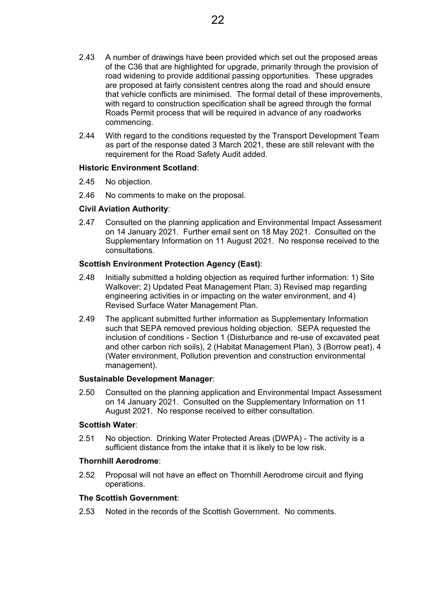- 2.43 A number of drawings have been provided which set out the proposed areas of the C36 that are highlighted for upgrade, primarily through the provision of road widening to provide additional passing opportunities. These upgrades are proposed at fairly consistent centres along the road and should ensure that vehicle conflicts are minimised. The formal detail of these improvements, with regard to construction specification shall be agreed through the formal Roads Permit process that will be required in advance of any roadworks commencing.
- 2.44 With regard to the conditions requested by the Transport Development Team as part of the response dated 3 March 2021, these are still relevant with the requirement for the Road Safety Audit added.

#### **Historic Environment Scotland**:

- 2.45 No objection.
- 2.46 No comments to make on the proposal.

#### **Civil Aviation Authority**:

2.47 Consulted on the planning application and Environmental Impact Assessment on 14 January 2021. Further email sent on 18 May 2021. Consulted on the Supplementary Information on 11 August 2021. No response received to the consultations.

#### **Scottish Environment Protection Agency (East)**:

- 2.48 Initially submitted a holding objection as required further information: 1) Site Walkover; 2) Updated Peat Management Plan; 3) Revised map regarding engineering activities in or impacting on the water environment, and 4) Revised Surface Water Management Plan.
- 2.49 The applicant submitted further information as Supplementary Information such that SEPA removed previous holding objection. SEPA requested the inclusion of conditions - Section 1 (Disturbance and re-use of excavated peat and other carbon rich soils), 2 (Habitat Management Plan), 3 (Borrow peat), 4 (Water environment, Pollution prevention and construction environmental management).

#### **Sustainable Development Manager**:

2.50 Consulted on the planning application and Environmental Impact Assessment on 14 January 2021. Consulted on the Supplementary Information on 11 August 2021. No response received to either consultation.

#### **Scottish Water**:

2.51 No objection. Drinking Water Protected Areas (DWPA) - The activity is a sufficient distance from the intake that it is likely to be low risk.

#### **Thornhill Aerodrome**:

2.52 Proposal will not have an effect on Thornhill Aerodrome circuit and flying operations.

#### **The Scottish Government**:

2.53 Noted in the records of the Scottish Government. No comments.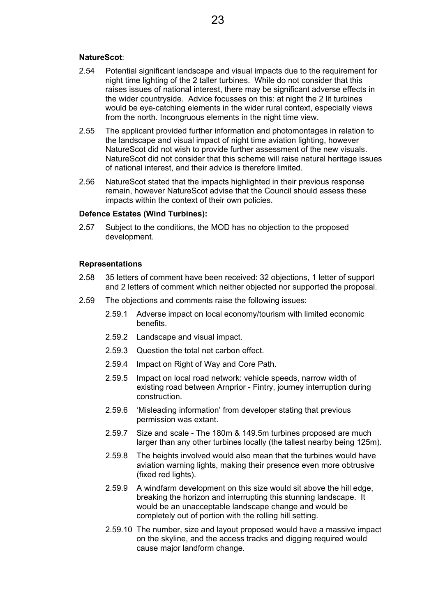#### **NatureScot**:

- 2.54 Potential significant landscape and visual impacts due to the requirement for night time lighting of the 2 taller turbines. While do not consider that this raises issues of national interest, there may be significant adverse effects in the wider countryside. Advice focusses on this: at night the 2 lit turbines would be eye-catching elements in the wider rural context, especially views from the north. Incongruous elements in the night time view.
- 2.55 The applicant provided further information and photomontages in relation to the landscape and visual impact of night time aviation lighting, however NatureScot did not wish to provide further assessment of the new visuals. NatureScot did not consider that this scheme will raise natural heritage issues of national interest, and their advice is therefore limited.
- 2.56 NatureScot stated that the impacts highlighted in their previous response remain, however NatureScot advise that the Council should assess these impacts within the context of their own policies.

#### **Defence Estates (Wind Turbines):**

2.57 Subject to the conditions, the MOD has no objection to the proposed development.

#### **Representations**

- 2.58 35 letters of comment have been received: 32 objections, 1 letter of support and 2 letters of comment which neither objected nor supported the proposal.
- 2.59 The objections and comments raise the following issues:
	- 2.59.1 Adverse impact on local economy/tourism with limited economic benefits.
	- 2.59.2 Landscape and visual impact.
	- 2.59.3 Question the total net carbon effect.
	- 2.59.4 Impact on Right of Way and Core Path.
	- 2.59.5 Impact on local road network: vehicle speeds, narrow width of existing road between Arnprior - Fintry, journey interruption during construction.
	- 2.59.6 'Misleading information' from developer stating that previous permission was extant.
	- 2.59.7 Size and scale The 180m & 149.5m turbines proposed are much larger than any other turbines locally (the tallest nearby being 125m).
	- 2.59.8 The heights involved would also mean that the turbines would have aviation warning lights, making their presence even more obtrusive (fixed red lights).
	- 2.59.9 A windfarm development on this size would sit above the hill edge, breaking the horizon and interrupting this stunning landscape. It would be an unacceptable landscape change and would be completely out of portion with the rolling hill setting.
	- 2.59.10 The number, size and layout proposed would have a massive impact on the skyline, and the access tracks and digging required would cause major landform change.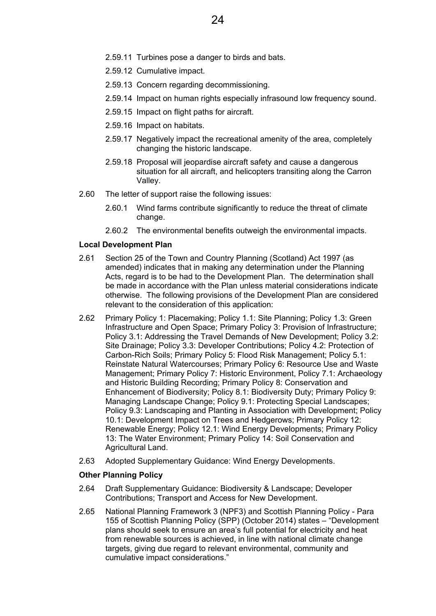- 2.59.11 Turbines pose a danger to birds and bats.
- 2.59.12 Cumulative impact.
- 2.59.13 Concern regarding decommissioning.
- 2.59.14 Impact on human rights especially infrasound low frequency sound.
- 2.59.15 Impact on flight paths for aircraft.
- 2.59.16 Impact on habitats.
- 2.59.17 Negatively impact the recreational amenity of the area, completely changing the historic landscape.
- 2.59.18 Proposal will jeopardise aircraft safety and cause a dangerous situation for all aircraft, and helicopters transiting along the Carron Valley.
- 2.60 The letter of support raise the following issues:
	- 2.60.1 Wind farms contribute significantly to reduce the threat of climate change.
	- 2.60.2 The environmental benefits outweigh the environmental impacts.

#### **Local Development Plan**

- 2.61 Section 25 of the Town and Country Planning (Scotland) Act 1997 (as amended) indicates that in making any determination under the Planning Acts, regard is to be had to the Development Plan. The determination shall be made in accordance with the Plan unless material considerations indicate otherwise. The following provisions of the Development Plan are considered relevant to the consideration of this application:
- 2.62 Primary Policy 1: Placemaking; Policy 1.1: Site Planning; Policy 1.3: Green Infrastructure and Open Space; Primary Policy 3: Provision of Infrastructure; Policy 3.1: Addressing the Travel Demands of New Development; Policy 3.2: Site Drainage; Policy 3.3: Developer Contributions; Policy 4.2: Protection of Carbon-Rich Soils; Primary Policy 5: Flood Risk Management; Policy 5.1: Reinstate Natural Watercourses; Primary Policy 6: Resource Use and Waste Management; Primary Policy 7: Historic Environment, Policy 7.1: Archaeology and Historic Building Recording; Primary Policy 8: Conservation and Enhancement of Biodiversity; Policy 8.1: Biodiversity Duty; Primary Policy 9: Managing Landscape Change; Policy 9.1: Protecting Special Landscapes; Policy 9.3: Landscaping and Planting in Association with Development; Policy 10.1: Development Impact on Trees and Hedgerows; Primary Policy 12: Renewable Energy; Policy 12.1: Wind Energy Developments; Primary Policy 13: The Water Environment; Primary Policy 14: Soil Conservation and Agricultural Land.
- 2.63 Adopted Supplementary Guidance: Wind Energy Developments.

## **Other Planning Policy**

- 2.64 Draft Supplementary Guidance: Biodiversity & Landscape; Developer Contributions; Transport and Access for New Development.
- 2.65 National Planning Framework 3 (NPF3) and Scottish Planning Policy Para 155 of Scottish Planning Policy (SPP) (October 2014) states – "Development plans should seek to ensure an area's full potential for electricity and heat from renewable sources is achieved, in line with national climate change targets, giving due regard to relevant environmental, community and cumulative impact considerations."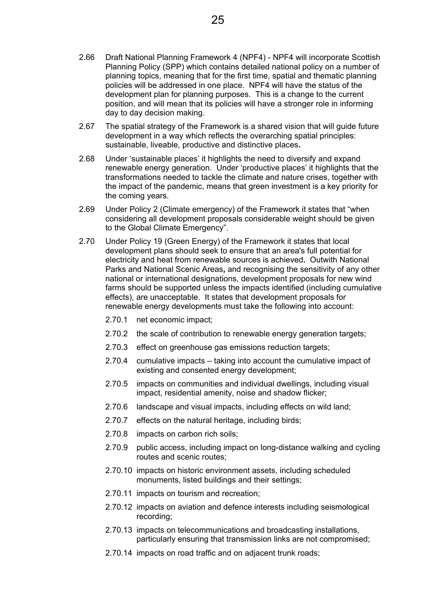- 2.66 Draft National Planning Framework 4 (NPF4) NPF4 will incorporate Scottish Planning Policy (SPP) which contains detailed national policy on a number of planning topics, meaning that for the first time, spatial and thematic planning policies will be addressed in one place. NPF4 will have the status of the development plan for planning purposes. This is a change to the current position, and will mean that its policies will have a stronger role in informing day to day decision making.
- 2.67 The spatial strategy of the Framework is a shared vision that will guide future development in a way which reflects the overarching spatial principles: sustainable, liveable, productive and distinctive places**.**
- 2.68 Under 'sustainable places' it highlights the need to diversify and expand renewable energy generation. Under 'productive places' it highlights that the transformations needed to tackle the climate and nature crises, together with the impact of the pandemic, means that green investment is a key priority for the coming years.
- 2.69 Under Policy 2 (Climate emergency) of the Framework it states that "when considering all development proposals considerable weight should be given to the Global Climate Emergency".
- 2.70 Under Policy 19 (Green Energy) of the Framework it states that local development plans should seek to ensure that an area's full potential for electricity and heat from renewable sources is achieved**.** Outwith National Parks and National Scenic Areas**,** and recognising the sensitivity of any other national or international designations, development proposals for new wind farms should be supported unless the impacts identified (including cumulative effects), are unacceptable. It states that development proposals for renewable energy developments must take the following into account:
	- 2.70.1 net economic impact;
	- 2.70.2 the scale of contribution to renewable energy generation targets;
	- 2.70.3 effect on greenhouse gas emissions reduction targets;
	- 2.70.4 cumulative impacts taking into account the cumulative impact of existing and consented energy development;
	- 2.70.5 impacts on communities and individual dwellings, including visual impact, residential amenity, noise and shadow flicker;
	- 2.70.6 landscape and visual impacts, including effects on wild land;
	- 2.70.7 effects on the natural heritage, including birds;
	- 2.70.8 impacts on carbon rich soils;
	- 2.70.9 public access, including impact on long-distance walking and cycling routes and scenic routes;
	- 2.70.10 impacts on historic environment assets, including scheduled monuments, listed buildings and their settings;
	- 2.70.11 impacts on tourism and recreation;
	- 2.70.12 impacts on aviation and defence interests including seismological recording;
	- 2.70.13 impacts on telecommunications and broadcasting installations, particularly ensuring that transmission links are not compromised;
	- 2.70.14 impacts on road traffic and on adjacent trunk roads;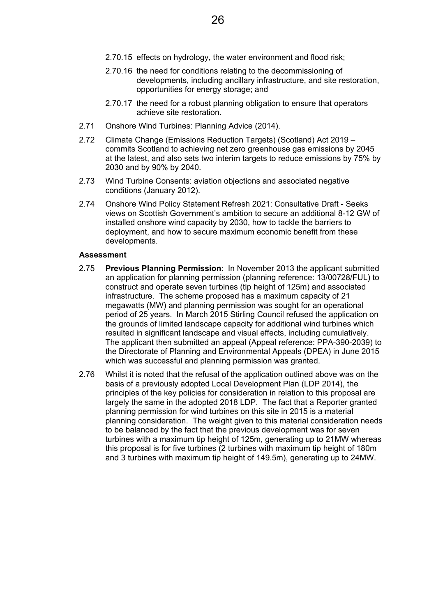- 2.70.15 effects on hydrology, the water environment and flood risk;
- 2.70.16 the need for conditions relating to the decommissioning of developments, including ancillary infrastructure, and site restoration, opportunities for energy storage; and
- 2.70.17 the need for a robust planning obligation to ensure that operators achieve site restoration.
- 2.71 Onshore Wind Turbines: Planning Advice (2014).
- 2.72 Climate Change (Emissions Reduction Targets) (Scotland) Act 2019 commits Scotland to achieving net zero greenhouse gas emissions by 2045 at the latest, and also sets two interim targets to reduce emissions by 75% by 2030 and by 90% by 2040.
- 2.73 Wind Turbine Consents: aviation objections and associated negative conditions (January 2012).
- 2.74 Onshore Wind Policy Statement Refresh 2021: Consultative Draft Seeks views on Scottish Government's ambition to secure an additional 8-12 GW of installed onshore wind capacity by 2030, how to tackle the barriers to deployment, and how to secure maximum economic benefit from these developments.

#### **Assessment**

- 2.75 **Previous Planning Permission**: In November 2013 the applicant submitted an application for planning permission (planning reference: 13/00728/FUL) to construct and operate seven turbines (tip height of 125m) and associated infrastructure. The scheme proposed has a maximum capacity of 21 megawatts (MW) and planning permission was sought for an operational period of 25 years. In March 2015 Stirling Council refused the application on the grounds of limited landscape capacity for additional wind turbines which resulted in significant landscape and visual effects, including cumulatively. The applicant then submitted an appeal (Appeal reference: PPA-390-2039) to the Directorate of Planning and Environmental Appeals (DPEA) in June 2015 which was successful and planning permission was granted.
- 2.76 Whilst it is noted that the refusal of the application outlined above was on the basis of a previously adopted Local Development Plan (LDP 2014), the principles of the key policies for consideration in relation to this proposal are largely the same in the adopted 2018 LDP. The fact that a Reporter granted planning permission for wind turbines on this site in 2015 is a material planning consideration. The weight given to this material consideration needs to be balanced by the fact that the previous development was for seven turbines with a maximum tip height of 125m, generating up to 21MW whereas this proposal is for five turbines (2 turbines with maximum tip height of 180m and 3 turbines with maximum tip height of 149.5m), generating up to 24MW.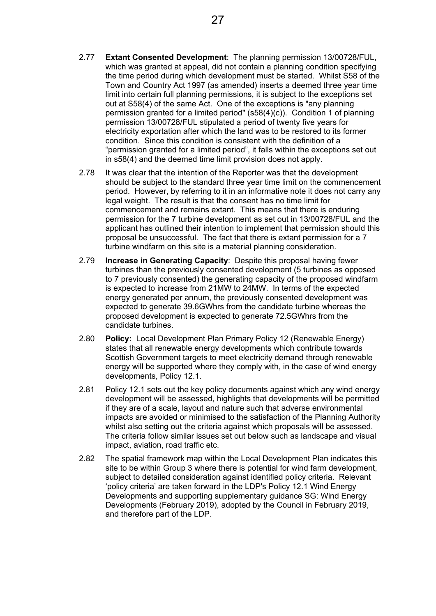- 2.77 **Extant Consented Development**: The planning permission 13/00728/FUL, which was granted at appeal, did not contain a planning condition specifying the time period during which development must be started. Whilst S58 of the Town and Country Act 1997 (as amended) inserts a deemed three year time limit into certain full planning permissions, it is subject to the exceptions set out at S58(4) of the same Act. One of the exceptions is "any planning permission granted for a limited period" (s58(4)(c)). Condition 1 of planning permission 13/00728/FUL stipulated a period of twenty five years for electricity exportation after which the land was to be restored to its former condition. Since this condition is consistent with the definition of a "permission granted for a limited period", it falls within the exceptions set out in s58(4) and the deemed time limit provision does not apply.
- 2.78 It was clear that the intention of the Reporter was that the development should be subject to the standard three year time limit on the commencement period. However, by referring to it in an informative note it does not carry any legal weight. The result is that the consent has no time limit for commencement and remains extant. This means that there is enduring permission for the 7 turbine development as set out in 13/00728/FUL and the applicant has outlined their intention to implement that permission should this proposal be unsuccessful. The fact that there is extant permission for a 7 turbine windfarm on this site is a material planning consideration.
- 2.79 **Increase in Generating Capacity**: Despite this proposal having fewer turbines than the previously consented development (5 turbines as opposed to 7 previously consented) the generating capacity of the proposed windfarm is expected to increase from 21MW to 24MW. In terms of the expected energy generated per annum, the previously consented development was expected to generate 39.6GWhrs from the candidate turbine whereas the proposed development is expected to generate 72.5GWhrs from the candidate turbines.
- 2.80 **Policy:** Local Development Plan Primary Policy 12 (Renewable Energy) states that all renewable energy developments which contribute towards Scottish Government targets to meet electricity demand through renewable energy will be supported where they comply with, in the case of wind energy developments, Policy 12.1.
- 2.81 Policy 12.1 sets out the key policy documents against which any wind energy development will be assessed, highlights that developments will be permitted if they are of a scale, layout and nature such that adverse environmental impacts are avoided or minimised to the satisfaction of the Planning Authority whilst also setting out the criteria against which proposals will be assessed. The criteria follow similar issues set out below such as landscape and visual impact, aviation, road traffic etc.
- 2.82 The spatial framework map within the Local Development Plan indicates this site to be within Group 3 where there is potential for wind farm development, subject to detailed consideration against identified policy criteria. Relevant 'policy criteria' are taken forward in the LDP's Policy 12.1 Wind Energy Developments and supporting supplementary guidance SG: Wind Energy Developments (February 2019), adopted by the Council in February 2019, and therefore part of the LDP.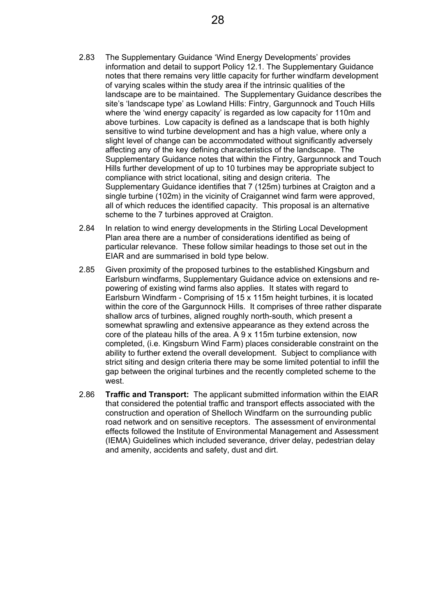- 2.83 The Supplementary Guidance 'Wind Energy Developments' provides information and detail to support Policy 12.1. The Supplementary Guidance notes that there remains very little capacity for further windfarm development of varying scales within the study area if the intrinsic qualities of the landscape are to be maintained. The Supplementary Guidance describes the site's 'landscape type' as Lowland Hills: Fintry, Gargunnock and Touch Hills where the 'wind energy capacity' is regarded as low capacity for 110m and above turbines. Low capacity is defined as a landscape that is both highly sensitive to wind turbine development and has a high value, where only a slight level of change can be accommodated without significantly adversely affecting any of the key defining characteristics of the landscape. The Supplementary Guidance notes that within the Fintry, Gargunnock and Touch Hills further development of up to 10 turbines may be appropriate subject to compliance with strict locational, siting and design criteria. The Supplementary Guidance identifies that 7 (125m) turbines at Craigton and a single turbine (102m) in the vicinity of Craigannet wind farm were approved, all of which reduces the identified capacity. This proposal is an alternative scheme to the 7 turbines approved at Craigton.
- 2.84 In relation to wind energy developments in the Stirling Local Development Plan area there are a number of considerations identified as being of particular relevance. These follow similar headings to those set out in the EIAR and are summarised in bold type below.
- 2.85 Given proximity of the proposed turbines to the established Kingsburn and Earlsburn windfarms, Supplementary Guidance advice on extensions and repowering of existing wind farms also applies. It states with regard to Earlsburn Windfarm - Comprising of 15 x 115m height turbines, it is located within the core of the Gargunnock Hills. It comprises of three rather disparate shallow arcs of turbines, aligned roughly north-south, which present a somewhat sprawling and extensive appearance as they extend across the core of the plateau hills of the area. A 9 x 115m turbine extension, now completed, (i.e. Kingsburn Wind Farm) places considerable constraint on the ability to further extend the overall development. Subject to compliance with strict siting and design criteria there may be some limited potential to infill the gap between the original turbines and the recently completed scheme to the west.
- 2.86 **Traffic and Transport:** The applicant submitted information within the EIAR that considered the potential traffic and transport effects associated with the construction and operation of Shelloch Windfarm on the surrounding public road network and on sensitive receptors. The assessment of environmental effects followed the Institute of Environmental Management and Assessment (IEMA) Guidelines which included severance, driver delay, pedestrian delay and amenity, accidents and safety, dust and dirt.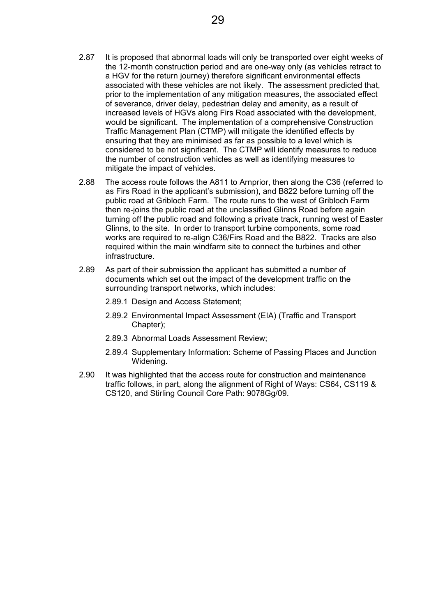- 2.87 It is proposed that abnormal loads will only be transported over eight weeks of the 12-month construction period and are one-way only (as vehicles retract to a HGV for the return journey) therefore significant environmental effects associated with these vehicles are not likely. The assessment predicted that, prior to the implementation of any mitigation measures, the associated effect of severance, driver delay, pedestrian delay and amenity, as a result of increased levels of HGVs along Firs Road associated with the development, would be significant. The implementation of a comprehensive Construction Traffic Management Plan (CTMP) will mitigate the identified effects by ensuring that they are minimised as far as possible to a level which is considered to be not significant. The CTMP will identify measures to reduce the number of construction vehicles as well as identifying measures to mitigate the impact of vehicles.
- 2.88 The access route follows the A811 to Arnprior, then along the C36 (referred to as Firs Road in the applicant's submission), and B822 before turning off the public road at Gribloch Farm. The route runs to the west of Gribloch Farm then re-joins the public road at the unclassified Glinns Road before again turning off the public road and following a private track, running west of Easter Glinns, to the site. In order to transport turbine components, some road works are required to re-align C36/Firs Road and the B822. Tracks are also required within the main windfarm site to connect the turbines and other infrastructure.
- 2.89 As part of their submission the applicant has submitted a number of documents which set out the impact of the development traffic on the surrounding transport networks, which includes:
	- 2.89.1 Design and Access Statement;
	- 2.89.2 Environmental Impact Assessment (EIA) (Traffic and Transport Chapter);
	- 2.89.3 Abnormal Loads Assessment Review;
	- 2.89.4 Supplementary Information: Scheme of Passing Places and Junction Widening.
- 2.90 It was highlighted that the access route for construction and maintenance traffic follows, in part, along the alignment of Right of Ways: CS64, CS119 & CS120, and Stirling Council Core Path: 9078Gg/09.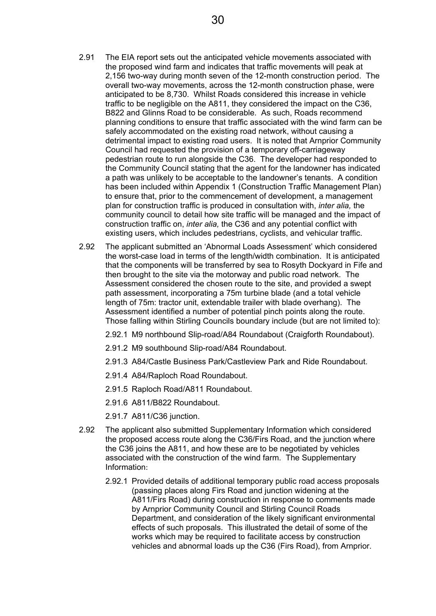- 2.91 The EIA report sets out the anticipated vehicle movements associated with the proposed wind farm and indicates that traffic movements will peak at 2,156 two-way during month seven of the 12-month construction period. The overall two-way movements, across the 12-month construction phase, were anticipated to be 8,730. Whilst Roads considered this increase in vehicle traffic to be negligible on the A811, they considered the impact on the C36, B822 and Glinns Road to be considerable. As such, Roads recommend planning conditions to ensure that traffic associated with the wind farm can be safely accommodated on the existing road network, without causing a detrimental impact to existing road users. It is noted that Arnprior Community Council had requested the provision of a temporary off-carriageway pedestrian route to run alongside the C36. The developer had responded to the Community Council stating that the agent for the landowner has indicated a path was unlikely to be acceptable to the landowner's tenants. A condition has been included within Appendix 1 (Construction Traffic Management Plan) to ensure that, prior to the commencement of development, a management plan for construction traffic is produced in consultation with, *inter alia,* the community council to detail how site traffic will be managed and the impact of construction traffic on, *inter alia,* the C36 and any potential conflict with existing users, which includes pedestrians, cyclists, and vehicular traffic.
- 2.92 The applicant submitted an 'Abnormal Loads Assessment' which considered the worst-case load in terms of the length/width combination. It is anticipated that the components will be transferred by sea to Rosyth Dockyard in Fife and then brought to the site via the motorway and public road network. The Assessment considered the chosen route to the site, and provided a swept path assessment, incorporating a 75m turbine blade (and a total vehicle length of 75m: tractor unit, extendable trailer with blade overhang). The Assessment identified a number of potential pinch points along the route. Those falling within Stirling Councils boundary include (but are not limited to):
	- 2.92.1 M9 northbound Slip-road/A84 Roundabout (Craigforth Roundabout).
	- 2.91.2 M9 southbound Slip-road/A84 Roundabout.
	- 2.91.3 A84/Castle Business Park/Castleview Park and Ride Roundabout.
	- 2.91.4 A84/Raploch Road Roundabout.
	- 2.91.5 Raploch Road/A811 Roundabout.
	- 2.91.6 A811/B822 Roundabout.
	- 2.91.7 A811/C36 junction.
- 2.92 The applicant also submitted Supplementary Information which considered the proposed access route along the C36/Firs Road, and the junction where the C36 joins the A811, and how these are to be negotiated by vehicles associated with the construction of the wind farm. The Supplementary Information:
	- 2.92.1 Provided details of additional temporary public road access proposals (passing places along Firs Road and junction widening at the A811/Firs Road) during construction in response to comments made by Arnprior Community Council and Stirling Council Roads Department, and consideration of the likely significant environmental effects of such proposals. This illustrated the detail of some of the works which may be required to facilitate access by construction vehicles and abnormal loads up the C36 (Firs Road), from Arnprior.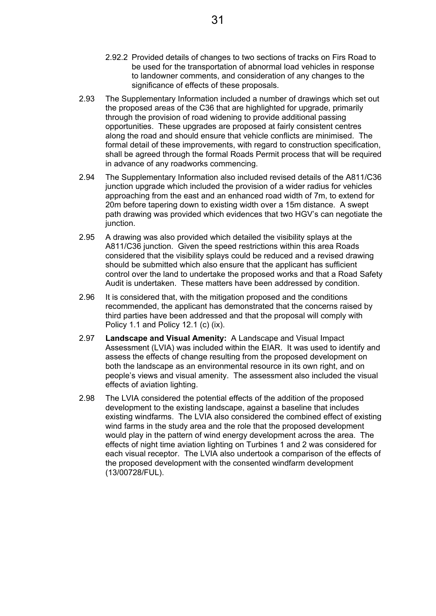- 2.92.2 Provided details of changes to two sections of tracks on Firs Road to be used for the transportation of abnormal load vehicles in response to landowner comments, and consideration of any changes to the significance of effects of these proposals.
- 2.93 The Supplementary Information included a number of drawings which set out the proposed areas of the C36 that are highlighted for upgrade, primarily through the provision of road widening to provide additional passing opportunities. These upgrades are proposed at fairly consistent centres along the road and should ensure that vehicle conflicts are minimised. The formal detail of these improvements, with regard to construction specification, shall be agreed through the formal Roads Permit process that will be required in advance of any roadworks commencing.
- 2.94 The Supplementary Information also included revised details of the A811/C36 junction upgrade which included the provision of a wider radius for vehicles approaching from the east and an enhanced road width of 7m, to extend for 20m before tapering down to existing width over a 15m distance. A swept path drawing was provided which evidences that two HGV's can negotiate the junction.
- 2.95 A drawing was also provided which detailed the visibility splays at the A811/C36 junction. Given the speed restrictions within this area Roads considered that the visibility splays could be reduced and a revised drawing should be submitted which also ensure that the applicant has sufficient control over the land to undertake the proposed works and that a Road Safety Audit is undertaken. These matters have been addressed by condition.
- 2.96 It is considered that, with the mitigation proposed and the conditions recommended, the applicant has demonstrated that the concerns raised by third parties have been addressed and that the proposal will comply with Policy 1.1 and Policy 12.1 (c) (ix).
- 2.97 **Landscape and Visual Amenity:** A Landscape and Visual Impact Assessment (LVIA) was included within the EIAR. It was used to identify and assess the effects of change resulting from the proposed development on both the landscape as an environmental resource in its own right, and on people's views and visual amenity. The assessment also included the visual effects of aviation lighting.
- 2.98 The LVIA considered the potential effects of the addition of the proposed development to the existing landscape, against a baseline that includes existing windfarms. The LVIA also considered the combined effect of existing wind farms in the study area and the role that the proposed development would play in the pattern of wind energy development across the area. The effects of night time aviation lighting on Turbines 1 and 2 was considered for each visual receptor. The LVIA also undertook a comparison of the effects of the proposed development with the consented windfarm development (13/00728/FUL).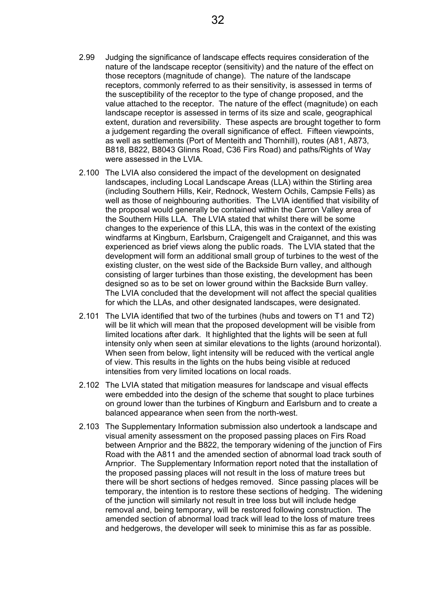- 2.99 Judging the significance of landscape effects requires consideration of the nature of the landscape receptor (sensitivity) and the nature of the effect on those receptors (magnitude of change). The nature of the landscape receptors, commonly referred to as their sensitivity, is assessed in terms of the susceptibility of the receptor to the type of change proposed, and the value attached to the receptor. The nature of the effect (magnitude) on each landscape receptor is assessed in terms of its size and scale, geographical extent, duration and reversibility. These aspects are brought together to form a judgement regarding the overall significance of effect. Fifteen viewpoints, as well as settlements (Port of Menteith and Thornhill), routes (A81, A873, B818, B822, B8043 Glinns Road, C36 Firs Road) and paths/Rights of Way were assessed in the LVIA.
- 2.100 The LVIA also considered the impact of the development on designated landscapes, including Local Landscape Areas (LLA) within the Stirling area (including Southern Hills, Keir, Rednock, Western Ochils, Campsie Fells) as well as those of neighbouring authorities. The LVIA identified that visibility of the proposal would generally be contained within the Carron Valley area of the Southern Hills LLA. The LVIA stated that whilst there will be some changes to the experience of this LLA, this was in the context of the existing windfarms at Kingburn, Earlsburn, Craigengelt and Craigannet, and this was experienced as brief views along the public roads. The LVIA stated that the development will form an additional small group of turbines to the west of the existing cluster, on the west side of the Backside Burn valley, and although consisting of larger turbines than those existing, the development has been designed so as to be set on lower ground within the Backside Burn valley. The LVIA concluded that the development will not affect the special qualities for which the LLAs, and other designated landscapes, were designated.
- 2.101 The LVIA identified that two of the turbines (hubs and towers on T1 and T2) will be lit which will mean that the proposed development will be visible from limited locations after dark. It highlighted that the lights will be seen at full intensity only when seen at similar elevations to the lights (around horizontal). When seen from below, light intensity will be reduced with the vertical angle of view. This results in the lights on the hubs being visible at reduced intensities from very limited locations on local roads.
- 2.102 The LVIA stated that mitigation measures for landscape and visual effects were embedded into the design of the scheme that sought to place turbines on ground lower than the turbines of Kingburn and Earlsburn and to create a balanced appearance when seen from the north-west.
- 2.103 The Supplementary Information submission also undertook a landscape and visual amenity assessment on the proposed passing places on Firs Road between Arnprior and the B822, the temporary widening of the junction of Firs Road with the A811 and the amended section of abnormal load track south of Arnprior. The Supplementary Information report noted that the installation of the proposed passing places will not result in the loss of mature trees but there will be short sections of hedges removed. Since passing places will be temporary, the intention is to restore these sections of hedging. The widening of the junction will similarly not result in tree loss but will include hedge removal and, being temporary, will be restored following construction. The amended section of abnormal load track will lead to the loss of mature trees and hedgerows, the developer will seek to minimise this as far as possible.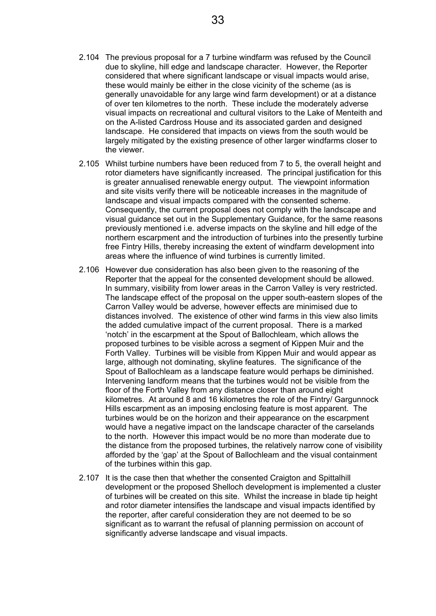- 2.104 The previous proposal for a 7 turbine windfarm was refused by the Council due to skyline, hill edge and landscape character. However, the Reporter considered that where significant landscape or visual impacts would arise, these would mainly be either in the close vicinity of the scheme (as is generally unavoidable for any large wind farm development) or at a distance of over ten kilometres to the north. These include the moderately adverse visual impacts on recreational and cultural visitors to the Lake of Menteith and on the A-listed Cardross House and its associated garden and designed landscape. He considered that impacts on views from the south would be largely mitigated by the existing presence of other larger windfarms closer to the viewer.
- 2.105 Whilst turbine numbers have been reduced from 7 to 5, the overall height and rotor diameters have significantly increased. The principal justification for this is greater annualised renewable energy output. The viewpoint information and site visits verify there will be noticeable increases in the magnitude of landscape and visual impacts compared with the consented scheme. Consequently, the current proposal does not comply with the landscape and visual guidance set out in the Supplementary Guidance, for the same reasons previously mentioned i.e. adverse impacts on the skyline and hill edge of the northern escarpment and the introduction of turbines into the presently turbine free Fintry Hills, thereby increasing the extent of windfarm development into areas where the influence of wind turbines is currently limited.
- 2.106 However due consideration has also been given to the reasoning of the Reporter that the appeal for the consented development should be allowed. In summary, visibility from lower areas in the Carron Valley is very restricted. The landscape effect of the proposal on the upper south-eastern slopes of the Carron Valley would be adverse, however effects are minimised due to distances involved. The existence of other wind farms in this view also limits the added cumulative impact of the current proposal. There is a marked 'notch' in the escarpment at the Spout of Ballochleam, which allows the proposed turbines to be visible across a segment of Kippen Muir and the Forth Valley. Turbines will be visible from Kippen Muir and would appear as large, although not dominating, skyline features. The significance of the Spout of Ballochleam as a landscape feature would perhaps be diminished. Intervening landform means that the turbines would not be visible from the floor of the Forth Valley from any distance closer than around eight kilometres. At around 8 and 16 kilometres the role of the Fintry/ Gargunnock Hills escarpment as an imposing enclosing feature is most apparent. The turbines would be on the horizon and their appearance on the escarpment would have a negative impact on the landscape character of the carselands to the north. However this impact would be no more than moderate due to the distance from the proposed turbines, the relatively narrow cone of visibility afforded by the 'gap' at the Spout of Ballochleam and the visual containment of the turbines within this gap.
- 2.107 It is the case then that whether the consented Craigton and Spittalhill development or the proposed Shelloch development is implemented a cluster of turbines will be created on this site. Whilst the increase in blade tip height and rotor diameter intensifies the landscape and visual impacts identified by the reporter, after careful consideration they are not deemed to be so significant as to warrant the refusal of planning permission on account of significantly adverse landscape and visual impacts.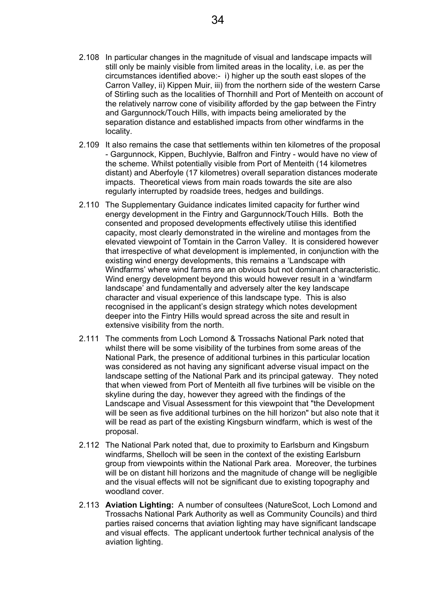- 2.108 In particular changes in the magnitude of visual and landscape impacts will still only be mainly visible from limited areas in the locality, i.e. as per the circumstances identified above:- i) higher up the south east slopes of the Carron Valley, ii) Kippen Muir, iii) from the northern side of the western Carse of Stirling such as the localities of Thornhill and Port of Menteith on account of the relatively narrow cone of visibility afforded by the gap between the Fintry and Gargunnock/Touch Hills, with impacts being ameliorated by the separation distance and established impacts from other windfarms in the locality.
- 2.109 It also remains the case that settlements within ten kilometres of the proposal - Gargunnock, Kippen, Buchlyvie, Balfron and Fintry - would have no view of the scheme. Whilst potentially visible from Port of Menteith (14 kilometres distant) and Aberfoyle (17 kilometres) overall separation distances moderate impacts. Theoretical views from main roads towards the site are also regularly interrupted by roadside trees, hedges and buildings.
- 2.110 The Supplementary Guidance indicates limited capacity for further wind energy development in the Fintry and Gargunnock/Touch Hills. Both the consented and proposed developments effectively utilise this identified capacity, most clearly demonstrated in the wireline and montages from the elevated viewpoint of Tomtain in the Carron Valley. It is considered however that irrespective of what development is implemented, in conjunction with the existing wind energy developments, this remains a 'Landscape with Windfarms' where wind farms are an obvious but not dominant characteristic. Wind energy development beyond this would however result in a 'windfarm landscape' and fundamentally and adversely alter the key landscape character and visual experience of this landscape type. This is also recognised in the applicant's design strategy which notes development deeper into the Fintry Hills would spread across the site and result in extensive visibility from the north.
- 2.111 The comments from Loch Lomond & Trossachs National Park noted that whilst there will be some visibility of the turbines from some areas of the National Park, the presence of additional turbines in this particular location was considered as not having any significant adverse visual impact on the landscape setting of the National Park and its principal gateway. They noted that when viewed from Port of Menteith all five turbines will be visible on the skyline during the day, however they agreed with the findings of the Landscape and Visual Assessment for this viewpoint that "the Development will be seen as five additional turbines on the hill horizon" but also note that it will be read as part of the existing Kingsburn windfarm, which is west of the proposal.
- 2.112 The National Park noted that, due to proximity to Earlsburn and Kingsburn windfarms, Shelloch will be seen in the context of the existing Earlsburn group from viewpoints within the National Park area. Moreover, the turbines will be on distant hill horizons and the magnitude of change will be negligible and the visual effects will not be significant due to existing topography and woodland cover.
- 2.113 **Aviation Lighting:** A number of consultees (NatureScot, Loch Lomond and Trossachs National Park Authority as well as Community Councils) and third parties raised concerns that aviation lighting may have significant landscape and visual effects. The applicant undertook further technical analysis of the aviation lighting.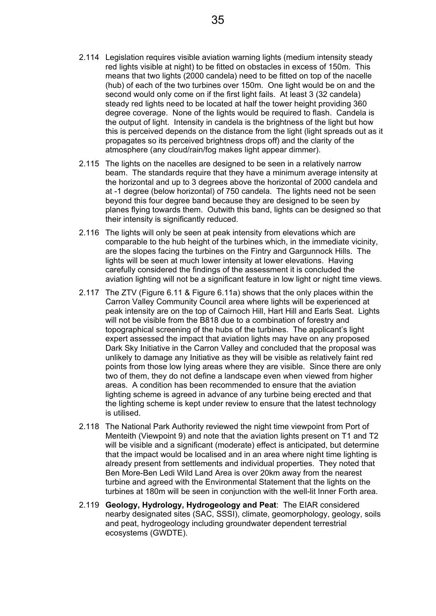- 2.114 Legislation requires visible aviation warning lights (medium intensity steady red lights visible at night) to be fitted on obstacles in excess of 150m. This means that two lights (2000 candela) need to be fitted on top of the nacelle (hub) of each of the two turbines over 150m. One light would be on and the second would only come on if the first light fails. At least 3 (32 candela) steady red lights need to be located at half the tower height providing 360 degree coverage. None of the lights would be required to flash. Candela is the output of light. Intensity in candela is the brightness of the light but how this is perceived depends on the distance from the light (light spreads out as it propagates so its perceived brightness drops off) and the clarity of the atmosphere (any cloud/rain/fog makes light appear dimmer).
- 2.115 The lights on the nacelles are designed to be seen in a relatively narrow beam. The standards require that they have a minimum average intensity at the horizontal and up to 3 degrees above the horizontal of 2000 candela and at -1 degree (below horizontal) of 750 candela. The lights need not be seen beyond this four degree band because they are designed to be seen by planes flying towards them. Outwith this band, lights can be designed so that their intensity is significantly reduced.
- 2.116 The lights will only be seen at peak intensity from elevations which are comparable to the hub height of the turbines which, in the immediate vicinity, are the slopes facing the turbines on the Fintry and Gargunnock Hills. The lights will be seen at much lower intensity at lower elevations. Having carefully considered the findings of the assessment it is concluded the aviation lighting will not be a significant feature in low light or night time views.
- 2.117 The ZTV (Figure 6.11 & Figure 6.11a) shows that the only places within the Carron Valley Community Council area where lights will be experienced at peak intensity are on the top of Cairnoch Hill, Hart Hill and Earls Seat. Lights will not be visible from the B818 due to a combination of forestry and topographical screening of the hubs of the turbines. The applicant's light expert assessed the impact that aviation lights may have on any proposed Dark Sky Initiative in the Carron Valley and concluded that the proposal was unlikely to damage any Initiative as they will be visible as relatively faint red points from those low lying areas where they are visible. Since there are only two of them, they do not define a landscape even when viewed from higher areas. A condition has been recommended to ensure that the aviation lighting scheme is agreed in advance of any turbine being erected and that the lighting scheme is kept under review to ensure that the latest technology is utilised.
- 2.118 The National Park Authority reviewed the night time viewpoint from Port of Menteith (Viewpoint 9) and note that the aviation lights present on T1 and T2 will be visible and a significant (moderate) effect is anticipated, but determine that the impact would be localised and in an area where night time lighting is already present from settlements and individual properties. They noted that Ben More-Ben Ledi Wild Land Area is over 20km away from the nearest turbine and agreed with the Environmental Statement that the lights on the turbines at 180m will be seen in conjunction with the well-lit Inner Forth area.
- 2.119 **Geology, Hydrology, Hydrogeology and Peat**: The EIAR considered nearby designated sites (SAC, SSSI), climate, geomorphology, geology, soils and peat, hydrogeology including groundwater dependent terrestrial ecosystems (GWDTE).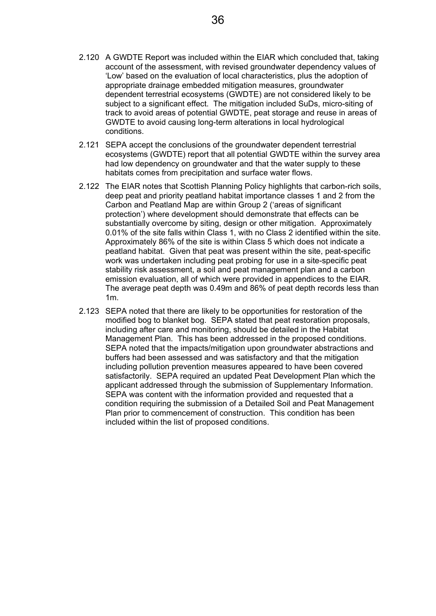- 2.120 A GWDTE Report was included within the EIAR which concluded that, taking account of the assessment, with revised groundwater dependency values of 'Low' based on the evaluation of local characteristics, plus the adoption of appropriate drainage embedded mitigation measures, groundwater dependent terrestrial ecosystems (GWDTE) are not considered likely to be subject to a significant effect. The mitigation included SuDs, micro-siting of track to avoid areas of potential GWDTE, peat storage and reuse in areas of GWDTE to avoid causing long-term alterations in local hydrological conditions.
- 2.121 SEPA accept the conclusions of the groundwater dependent terrestrial ecosystems (GWDTE) report that all potential GWDTE within the survey area had low dependency on groundwater and that the water supply to these habitats comes from precipitation and surface water flows.
- 2.122 The EIAR notes that Scottish Planning Policy highlights that carbon-rich soils, deep peat and priority peatland habitat importance classes 1 and 2 from the Carbon and Peatland Map are within Group 2 ('areas of significant protection') where development should demonstrate that effects can be substantially overcome by siting, design or other mitigation. Approximately 0.01% of the site falls within Class 1, with no Class 2 identified within the site. Approximately 86% of the site is within Class 5 which does not indicate a peatland habitat. Given that peat was present within the site, peat-specific work was undertaken including peat probing for use in a site-specific peat stability risk assessment, a soil and peat management plan and a carbon emission evaluation, all of which were provided in appendices to the EIAR. The average peat depth was 0.49m and 86% of peat depth records less than 1m.
- 2.123 SEPA noted that there are likely to be opportunities for restoration of the modified bog to blanket bog. SEPA stated that peat restoration proposals, including after care and monitoring, should be detailed in the Habitat Management Plan. This has been addressed in the proposed conditions. SEPA noted that the impacts/mitigation upon groundwater abstractions and buffers had been assessed and was satisfactory and that the mitigation including pollution prevention measures appeared to have been covered satisfactorily. SEPA required an updated Peat Development Plan which the applicant addressed through the submission of Supplementary Information. SEPA was content with the information provided and requested that a condition requiring the submission of a Detailed Soil and Peat Management Plan prior to commencement of construction. This condition has been included within the list of proposed conditions.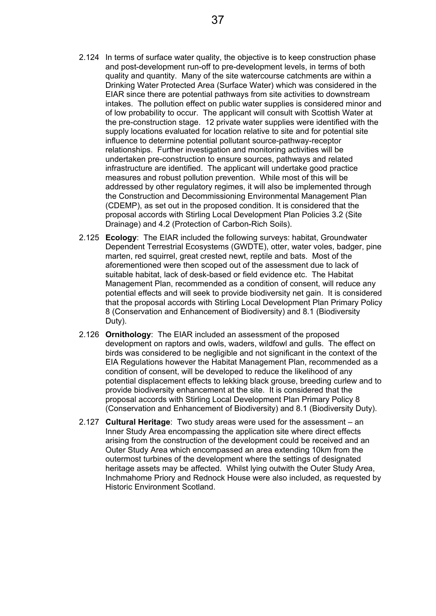- 2.124 In terms of surface water quality, the objective is to keep construction phase and post-development run-off to pre-development levels, in terms of both quality and quantity. Many of the site watercourse catchments are within a Drinking Water Protected Area (Surface Water) which was considered in the EIAR since there are potential pathways from site activities to downstream intakes. The pollution effect on public water supplies is considered minor and of low probability to occur. The applicant will consult with Scottish Water at the pre-construction stage. 12 private water supplies were identified with the supply locations evaluated for location relative to site and for potential site influence to determine potential pollutant source-pathway-receptor relationships. Further investigation and monitoring activities will be undertaken pre-construction to ensure sources, pathways and related infrastructure are identified. The applicant will undertake good practice measures and robust pollution prevention. While most of this will be addressed by other regulatory regimes, it will also be implemented through the Construction and Decommissioning Environmental Management Plan (CDEMP), as set out in the proposed condition. It is considered that the proposal accords with Stirling Local Development Plan Policies 3.2 (Site Drainage) and 4.2 (Protection of Carbon-Rich Soils).
- 2.125 **Ecology**: The EIAR included the following surveys: habitat, Groundwater Dependent Terrestrial Ecosystems (GWDTE), otter, water voles, badger, pine marten, red squirrel, great crested newt, reptile and bats. Most of the aforementioned were then scoped out of the assessment due to lack of suitable habitat, lack of desk-based or field evidence etc. The Habitat Management Plan, recommended as a condition of consent, will reduce any potential effects and will seek to provide biodiversity net gain. It is considered that the proposal accords with Stirling Local Development Plan Primary Policy 8 (Conservation and Enhancement of Biodiversity) and 8.1 (Biodiversity Duty).
- 2.126 **Ornithology**: The EIAR included an assessment of the proposed development on raptors and owls, waders, wildfowl and gulls. The effect on birds was considered to be negligible and not significant in the context of the EIA Regulations however the Habitat Management Plan, recommended as a condition of consent, will be developed to reduce the likelihood of any potential displacement effects to lekking black grouse, breeding curlew and to provide biodiversity enhancement at the site. It is considered that the proposal accords with Stirling Local Development Plan Primary Policy 8 (Conservation and Enhancement of Biodiversity) and 8.1 (Biodiversity Duty).
- 2.127 **Cultural Heritage**: Two study areas were used for the assessment an Inner Study Area encompassing the application site where direct effects arising from the construction of the development could be received and an Outer Study Area which encompassed an area extending 10km from the outermost turbines of the development where the settings of designated heritage assets may be affected. Whilst lying outwith the Outer Study Area, Inchmahome Priory and Rednock House were also included, as requested by Historic Environment Scotland.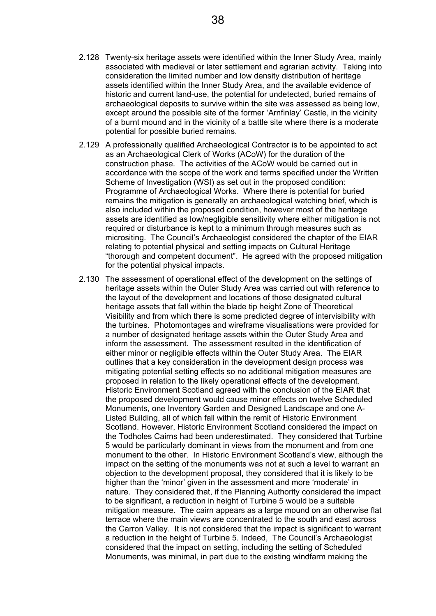- 2.128 Twenty-six heritage assets were identified within the Inner Study Area, mainly associated with medieval or later settlement and agrarian activity. Taking into consideration the limited number and low density distribution of heritage assets identified within the Inner Study Area, and the available evidence of historic and current land-use, the potential for undetected, buried remains of archaeological deposits to survive within the site was assessed as being low, except around the possible site of the former 'Arnfinlay' Castle, in the vicinity of a burnt mound and in the vicinity of a battle site where there is a moderate potential for possible buried remains.
- 2.129 A professionally qualified Archaeological Contractor is to be appointed to act as an Archaeological Clerk of Works (ACoW) for the duration of the construction phase. The activities of the ACoW would be carried out in accordance with the scope of the work and terms specified under the Written Scheme of Investigation (WSI) as set out in the proposed condition: Programme of Archaeological Works. Where there is potential for buried remains the mitigation is generally an archaeological watching brief, which is also included within the proposed condition, however most of the heritage assets are identified as low/negligible sensitivity where either mitigation is not required or disturbance is kept to a minimum through measures such as micrositing. The Council's Archaeologist considered the chapter of the EIAR relating to potential physical and setting impacts on Cultural Heritage "thorough and competent document". He agreed with the proposed mitigation for the potential physical impacts.
- 2.130 The assessment of operational effect of the development on the settings of heritage assets within the Outer Study Area was carried out with reference to the layout of the development and locations of those designated cultural heritage assets that fall within the blade tip height Zone of Theoretical Visibility and from which there is some predicted degree of intervisibility with the turbines. Photomontages and wireframe visualisations were provided for a number of designated heritage assets within the Outer Study Area and inform the assessment. The assessment resulted in the identification of either minor or negligible effects within the Outer Study Area. The EIAR outlines that a key consideration in the development design process was mitigating potential setting effects so no additional mitigation measures are proposed in relation to the likely operational effects of the development. Historic Environment Scotland agreed with the conclusion of the EIAR that the proposed development would cause minor effects on twelve Scheduled Monuments, one Inventory Garden and Designed Landscape and one A-Listed Building, all of which fall within the remit of Historic Environment Scotland. However, Historic Environment Scotland considered the impact on the Todholes Cairns had been underestimated. They considered that Turbine 5 would be particularly dominant in views from the monument and from one monument to the other. In Historic Environment Scotland's view, although the impact on the setting of the monuments was not at such a level to warrant an objection to the development proposal, they considered that it is likely to be higher than the 'minor' given in the assessment and more 'moderate' in nature. They considered that, if the Planning Authority considered the impact to be significant, a reduction in height of Turbine 5 would be a suitable mitigation measure. The cairn appears as a large mound on an otherwise flat terrace where the main views are concentrated to the south and east across the Carron Valley. It is not considered that the impact is significant to warrant a reduction in the height of Turbine 5. Indeed, The Council's Archaeologist considered that the impact on setting, including the setting of Scheduled Monuments, was minimal, in part due to the existing windfarm making the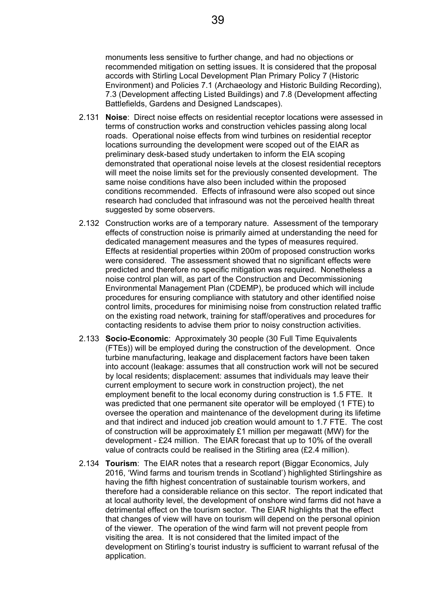monuments less sensitive to further change, and had no objections or recommended mitigation on setting issues. It is considered that the proposal accords with Stirling Local Development Plan Primary Policy 7 (Historic Environment) and Policies 7.1 (Archaeology and Historic Building Recording), 7.3 (Development affecting Listed Buildings) and 7.8 (Development affecting Battlefields, Gardens and Designed Landscapes).

- 2.131 **Noise**: Direct noise effects on residential receptor locations were assessed in terms of construction works and construction vehicles passing along local roads. Operational noise effects from wind turbines on residential receptor locations surrounding the development were scoped out of the EIAR as preliminary desk-based study undertaken to inform the EIA scoping demonstrated that operational noise levels at the closest residential receptors will meet the noise limits set for the previously consented development. The same noise conditions have also been included within the proposed conditions recommended. Effects of infrasound were also scoped out since research had concluded that infrasound was not the perceived health threat suggested by some observers.
- 2.132 Construction works are of a temporary nature. Assessment of the temporary effects of construction noise is primarily aimed at understanding the need for dedicated management measures and the types of measures required. Effects at residential properties within 200m of proposed construction works were considered. The assessment showed that no significant effects were predicted and therefore no specific mitigation was required. Nonetheless a noise control plan will, as part of the Construction and Decommissioning Environmental Management Plan (CDEMP), be produced which will include procedures for ensuring compliance with statutory and other identified noise control limits, procedures for minimising noise from construction related traffic on the existing road network, training for staff/operatives and procedures for contacting residents to advise them prior to noisy construction activities.
- 2.133 **Socio-Economic**: Approximately 30 people (30 Full Time Equivalents (FTEs)) will be employed during the construction of the development. Once turbine manufacturing, leakage and displacement factors have been taken into account (leakage: assumes that all construction work will not be secured by local residents; displacement: assumes that individuals may leave their current employment to secure work in construction project), the net employment benefit to the local economy during construction is 1.5 FTE. It was predicted that one permanent site operator will be employed (1 FTE) to oversee the operation and maintenance of the development during its lifetime and that indirect and induced job creation would amount to 1.7 FTE. The cost of construction will be approximately £1 million per megawatt (MW) for the development - £24 million. The EIAR forecast that up to 10% of the overall value of contracts could be realised in the Stirling area (£2.4 million).
- 2.134 **Tourism**: The EIAR notes that a research report (Biggar Economics, July 2016, 'Wind farms and tourism trends in Scotland') highlighted Stirlingshire as having the fifth highest concentration of sustainable tourism workers, and therefore had a considerable reliance on this sector. The report indicated that at local authority level, the development of onshore wind farms did not have a detrimental effect on the tourism sector. The EIAR highlights that the effect that changes of view will have on tourism will depend on the personal opinion of the viewer. The operation of the wind farm will not prevent people from visiting the area. It is not considered that the limited impact of the development on Stirling's tourist industry is sufficient to warrant refusal of the application.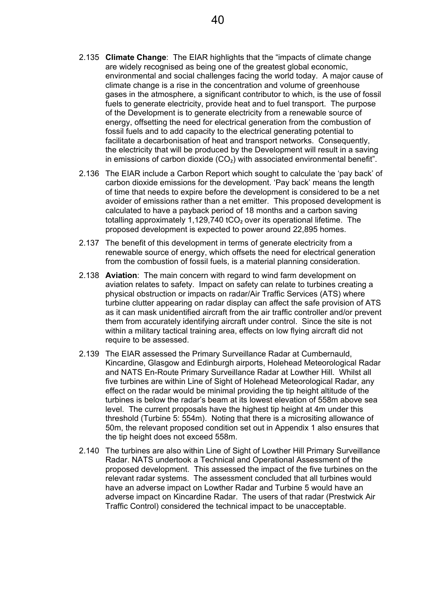- 2.135 **Climate Change**: The EIAR highlights that the "impacts of climate change are widely recognised as being one of the greatest global economic, environmental and social challenges facing the world today. A major cause of climate change is a rise in the concentration and volume of greenhouse gases in the atmosphere, a significant contributor to which, is the use of fossil fuels to generate electricity, provide heat and to fuel transport. The purpose of the Development is to generate electricity from a renewable source of energy, offsetting the need for electrical generation from the combustion of fossil fuels and to add capacity to the electrical generating potential to facilitate a decarbonisation of heat and transport networks. Consequently, the electricity that will be produced by the Development will result in a saving in emissions of carbon dioxide  $(CO<sub>2</sub>)$  with associated environmental benefit".
- 2.136 The EIAR include a Carbon Report which sought to calculate the 'pay back' of carbon dioxide emissions for the development. 'Pay back' means the length of time that needs to expire before the development is considered to be a net avoider of emissions rather than a net emitter. This proposed development is calculated to have a payback period of 18 months and a carbon saving totalling approximately 1,129,740 tCO<sub>2</sub> over its operational lifetime. The proposed development is expected to power around 22,895 homes.
- 2.137 The benefit of this development in terms of generate electricity from a renewable source of energy, which offsets the need for electrical generation from the combustion of fossil fuels, is a material planning consideration.
- 2.138 **Aviation**: The main concern with regard to wind farm development on aviation relates to safety. Impact on safety can relate to turbines creating a physical obstruction or impacts on radar/Air Traffic Services (ATS) where turbine clutter appearing on radar display can affect the safe provision of ATS as it can mask unidentified aircraft from the air traffic controller and/or prevent them from accurately identifying aircraft under control. Since the site is not within a military tactical training area, effects on low flying aircraft did not require to be assessed.
- 2.139 The EIAR assessed the Primary Surveillance Radar at Cumbernauld, Kincardine, Glasgow and Edinburgh airports, Holehead Meteorological Radar and NATS En-Route Primary Surveillance Radar at Lowther Hill. Whilst all five turbines are within Line of Sight of Holehead Meteorological Radar, any effect on the radar would be minimal providing the tip height altitude of the turbines is below the radar's beam at its lowest elevation of 558m above sea level. The current proposals have the highest tip height at 4m under this threshold (Turbine 5: 554m). Noting that there is a micrositing allowance of 50m, the relevant proposed condition set out in Appendix 1 also ensures that the tip height does not exceed 558m.
- 2.140 The turbines are also within Line of Sight of Lowther Hill Primary Surveillance Radar. NATS undertook a Technical and Operational Assessment of the proposed development. This assessed the impact of the five turbines on the relevant radar systems. The assessment concluded that all turbines would have an adverse impact on Lowther Radar and Turbine 5 would have an adverse impact on Kincardine Radar. The users of that radar (Prestwick Air Traffic Control) considered the technical impact to be unacceptable.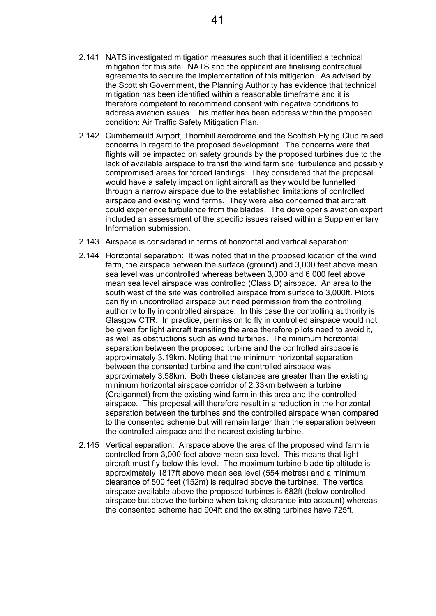- 2.141 NATS investigated mitigation measures such that it identified a technical mitigation for this site. NATS and the applicant are finalising contractual agreements to secure the implementation of this mitigation. As advised by the Scottish Government, the Planning Authority has evidence that technical mitigation has been identified within a reasonable timeframe and it is therefore competent to recommend consent with negative conditions to address aviation issues. This matter has been address within the proposed condition: Air Traffic Safety Mitigation Plan.
- 2.142 Cumbernauld Airport, Thornhill aerodrome and the Scottish Flying Club raised concerns in regard to the proposed development. The concerns were that flights will be impacted on safety grounds by the proposed turbines due to the lack of available airspace to transit the wind farm site, turbulence and possibly compromised areas for forced landings. They considered that the proposal would have a safety impact on light aircraft as they would be funnelled through a narrow airspace due to the established limitations of controlled airspace and existing wind farms. They were also concerned that aircraft could experience turbulence from the blades. The developer's aviation expert included an assessment of the specific issues raised within a Supplementary Information submission.
- 2.143 Airspace is considered in terms of horizontal and vertical separation:
- 2.144 Horizontal separation: It was noted that in the proposed location of the wind farm, the airspace between the surface (ground) and 3,000 feet above mean sea level was uncontrolled whereas between 3,000 and 6,000 feet above mean sea level airspace was controlled (Class D) airspace. An area to the south west of the site was controlled airspace from surface to 3,000ft. Pilots can fly in uncontrolled airspace but need permission from the controlling authority to fly in controlled airspace. In this case the controlling authority is Glasgow CTR. In practice, permission to fly in controlled airspace would not be given for light aircraft transiting the area therefore pilots need to avoid it, as well as obstructions such as wind turbines. The minimum horizontal separation between the proposed turbine and the controlled airspace is approximately 3.19km. Noting that the minimum horizontal separation between the consented turbine and the controlled airspace was approximately 3.58km. Both these distances are greater than the existing minimum horizontal airspace corridor of 2.33km between a turbine (Craigannet) from the existing wind farm in this area and the controlled airspace. This proposal will therefore result in a reduction in the horizontal separation between the turbines and the controlled airspace when compared to the consented scheme but will remain larger than the separation between the controlled airspace and the nearest existing turbine.
- 2.145 Vertical separation: Airspace above the area of the proposed wind farm is controlled from 3,000 feet above mean sea level. This means that light aircraft must fly below this level. The maximum turbine blade tip altitude is approximately 1817ft above mean sea level (554 metres) and a minimum clearance of 500 feet (152m) is required above the turbines. The vertical airspace available above the proposed turbines is 682ft (below controlled airspace but above the turbine when taking clearance into account) whereas the consented scheme had 904ft and the existing turbines have 725ft.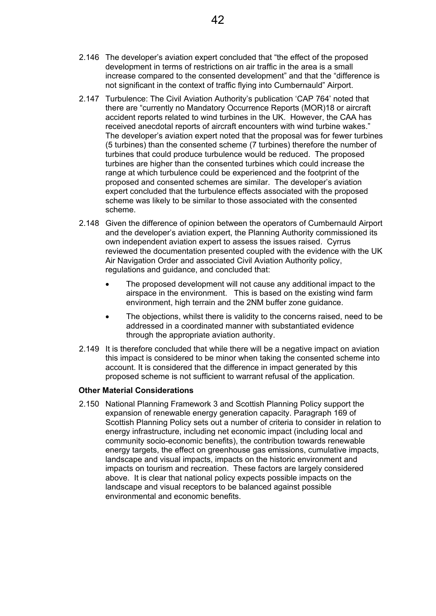- 2.146 The developer's aviation expert concluded that "the effect of the proposed development in terms of restrictions on air traffic in the area is a small increase compared to the consented development" and that the "difference is not significant in the context of traffic flying into Cumbernauld" Airport.
- 2.147 Turbulence: The Civil Aviation Authority's publication 'CAP 764' noted that there are "currently no Mandatory Occurrence Reports (MOR)18 or aircraft accident reports related to wind turbines in the UK. However, the CAA has received anecdotal reports of aircraft encounters with wind turbine wakes." The developer's aviation expert noted that the proposal was for fewer turbines (5 turbines) than the consented scheme (7 turbines) therefore the number of turbines that could produce turbulence would be reduced. The proposed turbines are higher than the consented turbines which could increase the range at which turbulence could be experienced and the footprint of the proposed and consented schemes are similar. The developer's aviation expert concluded that the turbulence effects associated with the proposed scheme was likely to be similar to those associated with the consented scheme.
- 2.148 Given the difference of opinion between the operators of Cumbernauld Airport and the developer's aviation expert, the Planning Authority commissioned its own independent aviation expert to assess the issues raised. Cyrrus reviewed the documentation presented coupled with the evidence with the UK Air Navigation Order and associated Civil Aviation Authority policy, regulations and guidance, and concluded that:
	- The proposed development will not cause any additional impact to the airspace in the environment. This is based on the existing wind farm environment, high terrain and the 2NM buffer zone guidance.
	- The objections, whilst there is validity to the concerns raised, need to be addressed in a coordinated manner with substantiated evidence through the appropriate aviation authority.
- 2.149 It is therefore concluded that while there will be a negative impact on aviation this impact is considered to be minor when taking the consented scheme into account. It is considered that the difference in impact generated by this proposed scheme is not sufficient to warrant refusal of the application.

## **Other Material Considerations**

2.150 National Planning Framework 3 and Scottish Planning Policy support the expansion of renewable energy generation capacity. Paragraph 169 of Scottish Planning Policy sets out a number of criteria to consider in relation to energy infrastructure, including net economic impact (including local and community socio-economic benefits), the contribution towards renewable energy targets, the effect on greenhouse gas emissions, cumulative impacts, landscape and visual impacts, impacts on the historic environment and impacts on tourism and recreation. These factors are largely considered above. It is clear that national policy expects possible impacts on the landscape and visual receptors to be balanced against possible environmental and economic benefits.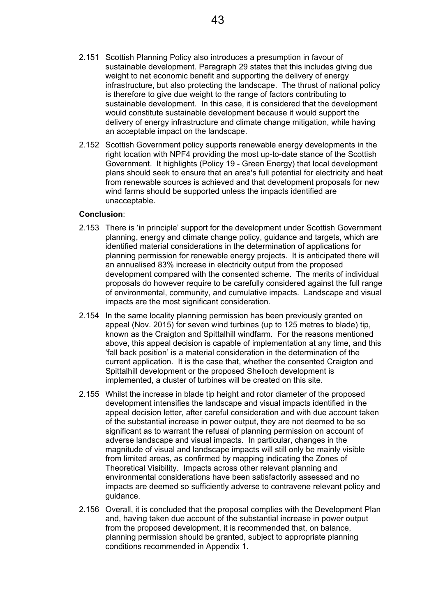- 2.151 Scottish Planning Policy also introduces a presumption in favour of sustainable development. Paragraph 29 states that this includes giving due weight to net economic benefit and supporting the delivery of energy infrastructure, but also protecting the landscape. The thrust of national policy is therefore to give due weight to the range of factors contributing to sustainable development. In this case, it is considered that the development would constitute sustainable development because it would support the delivery of energy infrastructure and climate change mitigation, while having an acceptable impact on the landscape.
- 2.152 Scottish Government policy supports renewable energy developments in the right location with NPF4 providing the most up-to-date stance of the Scottish Government. It highlights (Policy 19 - Green Energy) that local development plans should seek to ensure that an area's full potential for electricity and heat from renewable sources is achieved and that development proposals for new wind farms should be supported unless the impacts identified are unacceptable.

## **Conclusion**:

- 2.153 There is 'in principle' support for the development under Scottish Government planning, energy and climate change policy, guidance and targets, which are identified material considerations in the determination of applications for planning permission for renewable energy projects. It is anticipated there will an annualised 83% increase in electricity output from the proposed development compared with the consented scheme. The merits of individual proposals do however require to be carefully considered against the full range of environmental, community, and cumulative impacts. Landscape and visual impacts are the most significant consideration.
- 2.154 In the same locality planning permission has been previously granted on appeal (Nov. 2015) for seven wind turbines (up to 125 metres to blade) tip, known as the Craigton and Spittalhill windfarm. For the reasons mentioned above, this appeal decision is capable of implementation at any time, and this 'fall back position' is a material consideration in the determination of the current application. It is the case that, whether the consented Craigton and Spittalhill development or the proposed Shelloch development is implemented, a cluster of turbines will be created on this site.
- 2.155 Whilst the increase in blade tip height and rotor diameter of the proposed development intensifies the landscape and visual impacts identified in the appeal decision letter, after careful consideration and with due account taken of the substantial increase in power output, they are not deemed to be so significant as to warrant the refusal of planning permission on account of adverse landscape and visual impacts. In particular, changes in the magnitude of visual and landscape impacts will still only be mainly visible from limited areas, as confirmed by mapping indicating the Zones of Theoretical Visibility. Impacts across other relevant planning and environmental considerations have been satisfactorily assessed and no impacts are deemed so sufficiently adverse to contravene relevant policy and guidance.
- 2.156 Overall, it is concluded that the proposal complies with the Development Plan and, having taken due account of the substantial increase in power output from the proposed development, it is recommended that, on balance, planning permission should be granted, subject to appropriate planning conditions recommended in Appendix 1.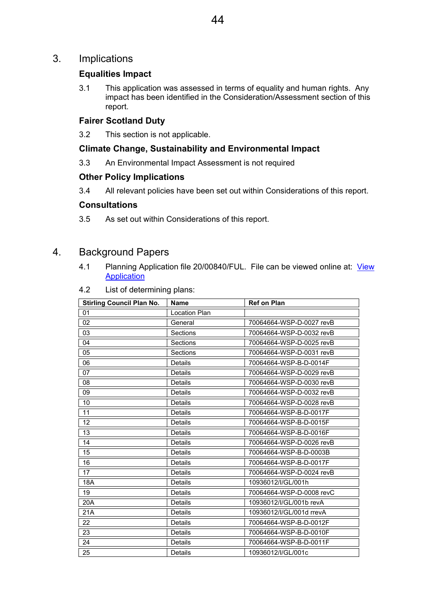## 3. Implications

## **Equalities Impact**

3.1 This application was assessed in terms of equality and human rights. Any impact has been identified in the Consideration/Assessment section of this report.

## **Fairer Scotland Duty**

3.2 This section is not applicable.

## **Climate Change, Sustainability and Environmental Impact**

3.3 An Environmental Impact Assessment is not required

## **Other Policy Implications**

3.4 All relevant policies have been set out within Considerations of this report.

## **Consultations**

3.5 As set out within Considerations of this report.

## 4. Background Papers

- 4.1 Planning Application file 20/00840/FUL. File can be viewed online at: View Application
- 4.2 List of determining plans:

| <b>Stirling Council Plan No.</b> | <b>Name</b>          | <b>Ref on Plan</b>       |
|----------------------------------|----------------------|--------------------------|
| 01                               | <b>Location Plan</b> |                          |
| 02                               | General              | 70064664-WSP-D-0027 revB |
| 03                               | Sections             | 70064664-WSP-D-0032 revB |
| 04                               | Sections             | 70064664-WSP-D-0025 revB |
| 05                               | Sections             | 70064664-WSP-D-0031 revB |
| 06                               | Details              | 70064664-WSP-B-D-0014F   |
| 07                               | Details              | 70064664-WSP-D-0029 revB |
| 08                               | Details              | 70064664-WSP-D-0030 revB |
| 09                               | Details              | 70064664-WSP-D-0032 revB |
| 10                               | Details              | 70064664-WSP-D-0028 revB |
| 11                               | <b>Details</b>       | 70064664-WSP-B-D-0017F   |
| 12                               | Details              | 70064664-WSP-B-D-0015F   |
| 13                               | Details              | 70064664-WSP-B-D-0016F   |
| 14                               | <b>Details</b>       | 70064664-WSP-D-0026 revB |
| 15                               | Details              | 70064664-WSP-B-D-0003B   |
| 16                               | <b>Details</b>       | 70064664-WSP-B-D-0017F   |
| 17                               | Details              | 70064664-WSP-D-0024 revB |
| 18A                              | Details              | 10936012/I/GL/001h       |
| 19                               | Details              | 70064664-WSP-D-0008 revC |
| 20A                              | Details              | 10936012/I/GL/001b revA  |
| 21A                              | Details              | 10936012/I/GL/001d rrevA |
| 22                               | <b>Details</b>       | 70064664-WSP-B-D-0012F   |
| 23                               | Details              | 70064664-WSP-B-D-0010F   |
| 24                               | <b>Details</b>       | 70064664-WSP-B-D-0011F   |
| 25                               | Details              | 10936012/I/GL/001c       |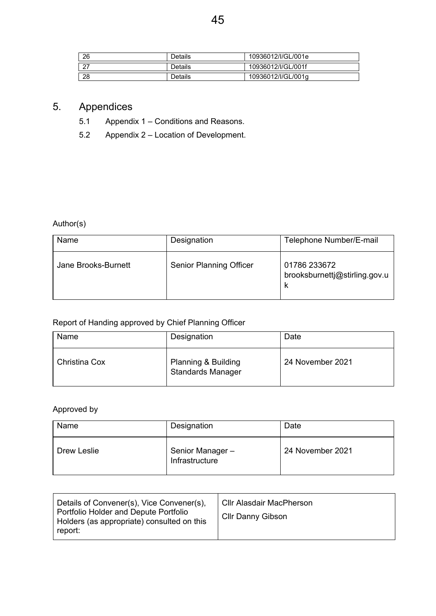| 26 | Details | 10936012/I/GL/001e |
|----|---------|--------------------|
| 27 | Details | 10936012/I/GL/001f |
| 28 | Details | 10936012/I/GL/001q |

# 5. Appendices

- 5.1 Appendix 1 Conditions and Reasons.
- 5.2 Appendix 2 Location of Development.

Author(s)

| Name                | Designation                    | Telephone Number/E-mail                       |
|---------------------|--------------------------------|-----------------------------------------------|
| Jane Brooks-Burnett | <b>Senior Planning Officer</b> | 01786 233672<br>brooksburnettj@stirling.gov.u |

# Report of Handing approved by Chief Planning Officer

| Name                 | Designation                                                | Date             |
|----------------------|------------------------------------------------------------|------------------|
| <b>Christina Cox</b> | <b>Planning &amp; Building</b><br><b>Standards Manager</b> | 24 November 2021 |

# Approved by

| Name        | Designation                       | Date             |
|-------------|-----------------------------------|------------------|
| Drew Leslie | Senior Manager-<br>Infrastructure | 24 November 2021 |

| Details of Convener(s), Vice Convener(s),<br>Portfolio Holder and Depute Portfolio<br>Holders (as appropriate) consulted on this<br>report: | <b>CIIr Alasdair MacPherson</b><br><b>Cllr Danny Gibson</b> |
|---------------------------------------------------------------------------------------------------------------------------------------------|-------------------------------------------------------------|
|---------------------------------------------------------------------------------------------------------------------------------------------|-------------------------------------------------------------|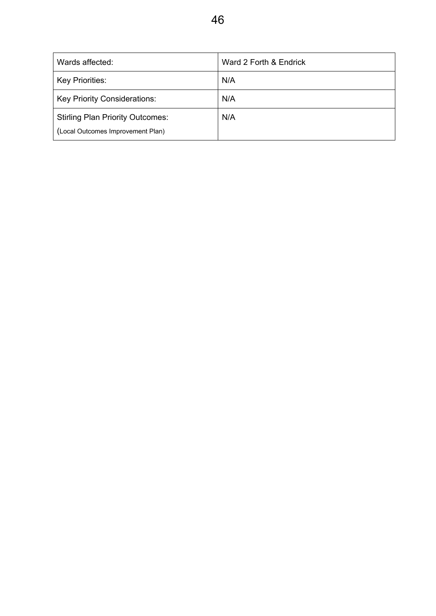| Wards affected:                         | Ward 2 Forth & Endrick |
|-----------------------------------------|------------------------|
| Key Priorities:                         | N/A                    |
| <b>Key Priority Considerations:</b>     | N/A                    |
| <b>Stirling Plan Priority Outcomes:</b> | N/A                    |
| (Local Outcomes Improvement Plan)       |                        |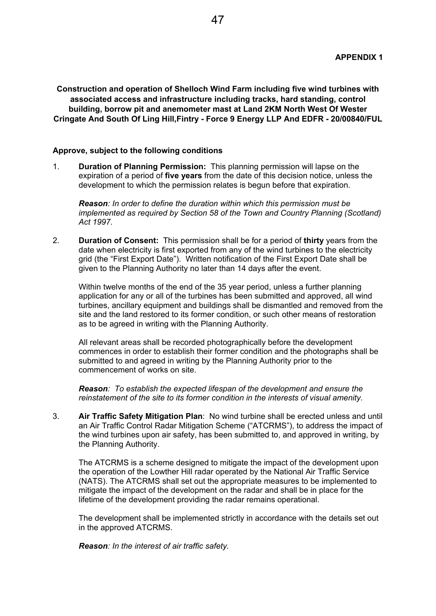**Construction and operation of Shelloch Wind Farm including five wind turbines with associated access and infrastructure including tracks, hard standing, control building, borrow pit and anemometer mast at Land 2KM North West Of Wester Cringate And South Of Ling Hill,Fintry - Force 9 Energy LLP And EDFR - 20/00840/FUL** 

#### **Approve, subject to the following conditions**

1. **Duration of Planning Permission:** This planning permission will lapse on the expiration of a period of **five years** from the date of this decision notice, unless the development to which the permission relates is begun before that expiration.

*Reason: In order to define the duration within which this permission must be implemented as required by Section 58 of the Town and Country Planning (Scotland) Act 1997.*

2. **Duration of Consent:** This permission shall be for a period of **thirty** years from the date when electricity is first exported from any of the wind turbines to the electricity grid (the "First Export Date"). Written notification of the First Export Date shall be given to the Planning Authority no later than 14 days after the event.

Within twelve months of the end of the 35 year period, unless a further planning application for any or all of the turbines has been submitted and approved, all wind turbines, ancillary equipment and buildings shall be dismantled and removed from the site and the land restored to its former condition, or such other means of restoration as to be agreed in writing with the Planning Authority.

All relevant areas shall be recorded photographically before the development commences in order to establish their former condition and the photographs shall be submitted to and agreed in writing by the Planning Authority prior to the commencement of works on site.

*Reason: To establish the expected lifespan of the development and ensure the reinstatement of the site to its former condition in the interests of visual amenity.*

3. **Air Traffic Safety Mitigation Plan**: No wind turbine shall be erected unless and until an Air Traffic Control Radar Mitigation Scheme ("ATCRMS"), to address the impact of the wind turbines upon air safety, has been submitted to, and approved in writing, by the Planning Authority.

The ATCRMS is a scheme designed to mitigate the impact of the development upon the operation of the Lowther Hill radar operated by the National Air Traffic Service (NATS). The ATCRMS shall set out the appropriate measures to be implemented to mitigate the impact of the development on the radar and shall be in place for the lifetime of the development providing the radar remains operational.

The development shall be implemented strictly in accordance with the details set out in the approved ATCRMS.

*Reason: In the interest of air traffic safety.*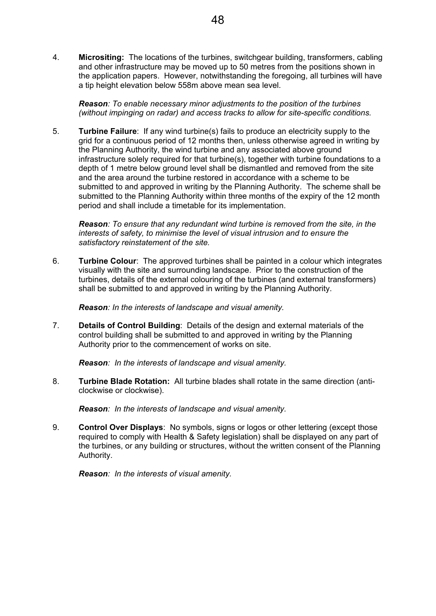4. **Micrositing:** The locations of the turbines, switchgear building, transformers, cabling and other infrastructure may be moved up to 50 metres from the positions shown in the application papers. However, notwithstanding the foregoing, all turbines will have a tip height elevation below 558m above mean sea level.

*Reason: To enable necessary minor adjustments to the position of the turbines (without impinging on radar) and access tracks to allow for site-specific conditions.*

5. **Turbine Failure**: If any wind turbine(s) fails to produce an electricity supply to the grid for a continuous period of 12 months then, unless otherwise agreed in writing by the Planning Authority, the wind turbine and any associated above ground infrastructure solely required for that turbine(s), together with turbine foundations to a depth of 1 metre below ground level shall be dismantled and removed from the site and the area around the turbine restored in accordance with a scheme to be submitted to and approved in writing by the Planning Authority. The scheme shall be submitted to the Planning Authority within three months of the expiry of the 12 month period and shall include a timetable for its implementation.

*Reason: To ensure that any redundant wind turbine is removed from the site, in the interests of safety, to minimise the level of visual intrusion and to ensure the satisfactory reinstatement of the site.* 

6. **Turbine Colour**: The approved turbines shall be painted in a colour which integrates visually with the site and surrounding landscape. Prior to the construction of the turbines, details of the external colouring of the turbines (and external transformers) shall be submitted to and approved in writing by the Planning Authority.

*Reason: In the interests of landscape and visual amenity.*

7. **Details of Control Building**: Details of the design and external materials of the control building shall be submitted to and approved in writing by the Planning Authority prior to the commencement of works on site.

*Reason: In the interests of landscape and visual amenity.* 

8. **Turbine Blade Rotation:** All turbine blades shall rotate in the same direction (anticlockwise or clockwise).

*Reason: In the interests of landscape and visual amenity.* 

9. **Control Over Displays**: No symbols, signs or logos or other lettering (except those required to comply with Health & Safety legislation) shall be displayed on any part of the turbines, or any building or structures, without the written consent of the Planning Authority.

*Reason: In the interests of visual amenity.*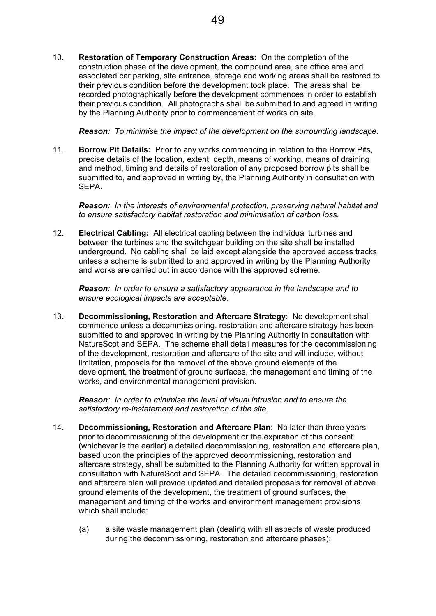10. **Restoration of Temporary Construction Areas:** On the completion of the construction phase of the development, the compound area, site office area and associated car parking, site entrance, storage and working areas shall be restored to their previous condition before the development took place. The areas shall be recorded photographically before the development commences in order to establish their previous condition. All photographs shall be submitted to and agreed in writing by the Planning Authority prior to commencement of works on site.

*Reason: To minimise the impact of the development on the surrounding landscape.* 

11. **Borrow Pit Details:** Prior to any works commencing in relation to the Borrow Pits, precise details of the location, extent, depth, means of working, means of draining and method, timing and details of restoration of any proposed borrow pits shall be submitted to, and approved in writing by, the Planning Authority in consultation with SEPA.

*Reason: In the interests of environmental protection, preserving natural habitat and to ensure satisfactory habitat restoration and minimisation of carbon loss.*

12. **Electrical Cabling:** All electrical cabling between the individual turbines and between the turbines and the switchgear building on the site shall be installed underground. No cabling shall be laid except alongside the approved access tracks unless a scheme is submitted to and approved in writing by the Planning Authority and works are carried out in accordance with the approved scheme.

*Reason: In order to ensure a satisfactory appearance in the landscape and to ensure ecological impacts are acceptable.* 

13. **Decommissioning, Restoration and Aftercare Strategy**: No development shall commence unless a decommissioning, restoration and aftercare strategy has been submitted to and approved in writing by the Planning Authority in consultation with NatureScot and SEPA. The scheme shall detail measures for the decommissioning of the development, restoration and aftercare of the site and will include, without limitation, proposals for the removal of the above ground elements of the development, the treatment of ground surfaces, the management and timing of the works, and environmental management provision.

*Reason: In order to minimise the level of visual intrusion and to ensure the satisfactory re-instatement and restoration of the site.* 

- 14. **Decommissioning, Restoration and Aftercare Plan**: No later than three years prior to decommissioning of the development or the expiration of this consent (whichever is the earlier) a detailed decommissioning, restoration and aftercare plan, based upon the principles of the approved decommissioning, restoration and aftercare strategy, shall be submitted to the Planning Authority for written approval in consultation with NatureScot and SEPA. The detailed decommissioning, restoration and aftercare plan will provide updated and detailed proposals for removal of above ground elements of the development, the treatment of ground surfaces, the management and timing of the works and environment management provisions which shall include:
	- (a) a site waste management plan (dealing with all aspects of waste produced during the decommissioning, restoration and aftercare phases);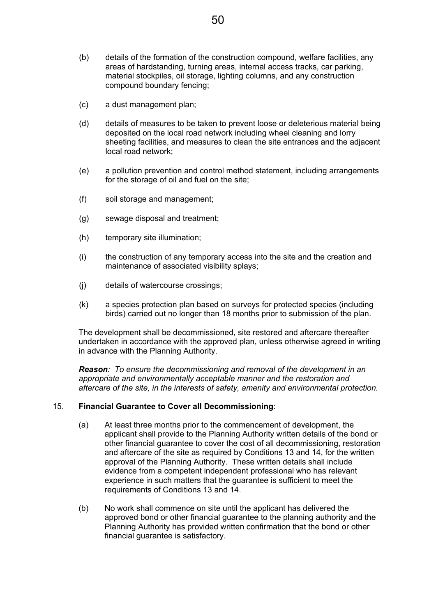- (b) details of the formation of the construction compound, welfare facilities, any areas of hardstanding, turning areas, internal access tracks, car parking, material stockpiles, oil storage, lighting columns, and any construction compound boundary fencing;
- (c) a dust management plan;
- (d) details of measures to be taken to prevent loose or deleterious material being deposited on the local road network including wheel cleaning and lorry sheeting facilities, and measures to clean the site entrances and the adjacent local road network;
- (e) a pollution prevention and control method statement, including arrangements for the storage of oil and fuel on the site;
- (f) soil storage and management;
- (g) sewage disposal and treatment;
- (h) temporary site illumination;
- (i) the construction of any temporary access into the site and the creation and maintenance of associated visibility splays;
- (j) details of watercourse crossings;
- (k) a species protection plan based on surveys for protected species (including birds) carried out no longer than 18 months prior to submission of the plan.

The development shall be decommissioned, site restored and aftercare thereafter undertaken in accordance with the approved plan, unless otherwise agreed in writing in advance with the Planning Authority.

*Reason: To ensure the decommissioning and removal of the development in an appropriate and environmentally acceptable manner and the restoration and aftercare of the site, in the interests of safety, amenity and environmental protection.* 

#### 15. **Financial Guarantee to Cover all Decommissioning**:

- (a) At least three months prior to the commencement of development, the applicant shall provide to the Planning Authority written details of the bond or other financial guarantee to cover the cost of all decommissioning, restoration and aftercare of the site as required by Conditions 13 and 14, for the written approval of the Planning Authority. These written details shall include evidence from a competent independent professional who has relevant experience in such matters that the guarantee is sufficient to meet the requirements of Conditions 13 and 14.
- (b) No work shall commence on site until the applicant has delivered the approved bond or other financial guarantee to the planning authority and the Planning Authority has provided written confirmation that the bond or other financial guarantee is satisfactory.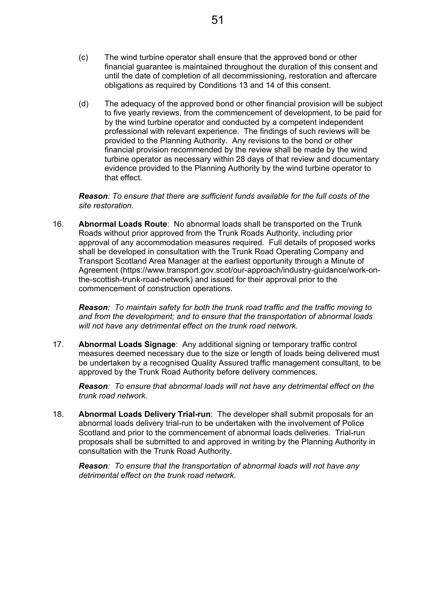- (c) The wind turbine operator shall ensure that the approved bond or other financial guarantee is maintained throughout the duration of this consent and until the date of completion of all decommissioning, restoration and aftercare obligations as required by Conditions 13 and 14 of this consent.
- (d) The adequacy of the approved bond or other financial provision will be subject to five yearly reviews, from the commencement of development, to be paid for by the wind turbine operator and conducted by a competent independent professional with relevant experience. The findings of such reviews will be provided to the Planning Authority. Any revisions to the bond or other financial provision recommended by the review shall be made by the wind turbine operator as necessary within 28 days of that review and documentary evidence provided to the Planning Authority by the wind turbine operator to that effect.

*Reason: To ensure that there are sufficient funds available for the full costs of the site restoration*.

16. **Abnormal Loads Route**: No abnormal loads shall be transported on the Trunk Roads without prior approved from the Trunk Roads Authority, including prior approval of any accommodation measures required. Full details of proposed works shall be developed in consultation with the Trunk Road Operating Company and Transport Scotland Area Manager at the earliest opportunity through a Minute of Agreement (https://www.transport.gov.scot/our-approach/industry-guidance/work-onthe-scottish-trunk-road-network) and issued for their approval prior to the commencement of construction operations.

*Reason: To maintain safety for both the trunk road traffic and the traffic moving to and from the development; and to ensure that the transportation of abnormal loads will not have any detrimental effect on the trunk road network.* 

17. **Abnormal Loads Signage**: Any additional signing or temporary traffic control measures deemed necessary due to the size or length of loads being delivered must be undertaken by a recognised Quality Assured traffic management consultant, to be approved by the Trunk Road Authority before delivery commences.

*Reason: To ensure that abnormal loads will not have any detrimental effect on the trunk road network.* 

18. **Abnormal Loads Delivery Trial-run**: The developer shall submit proposals for an abnormal loads delivery trial-run to be undertaken with the involvement of Police Scotland and prior to the commencement of abnormal loads deliveries. Trial-run proposals shall be submitted to and approved in writing by the Planning Authority in consultation with the Trunk Road Authority.

*Reason: To ensure that the transportation of abnormal loads will not have any detrimental effect on the trunk road network.*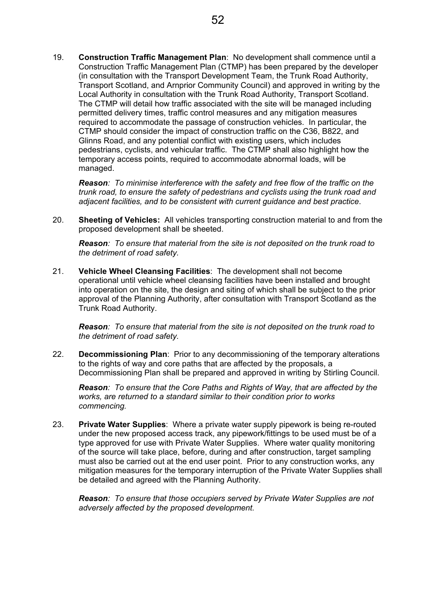19. **Construction Traffic Management Plan**: No development shall commence until a Construction Traffic Management Plan (CTMP) has been prepared by the developer (in consultation with the Transport Development Team, the Trunk Road Authority, Transport Scotland, and Arnprior Community Council) and approved in writing by the Local Authority in consultation with the Trunk Road Authority, Transport Scotland. The CTMP will detail how traffic associated with the site will be managed including permitted delivery times, traffic control measures and any mitigation measures required to accommodate the passage of construction vehicles. In particular, the CTMP should consider the impact of construction traffic on the C36, B822, and Glinns Road, and any potential conflict with existing users, which includes pedestrians, cyclists, and vehicular traffic. The CTMP shall also highlight how the temporary access points, required to accommodate abnormal loads, will be managed.

*Reason: To minimise interference with the safety and free flow of the traffic on the trunk road, to ensure the safety of pedestrians and cyclists using the trunk road and adjacent facilities, and to be consistent with current guidance and best practice*.

20. **Sheeting of Vehicles:** All vehicles transporting construction material to and from the proposed development shall be sheeted.

*Reason: To ensure that material from the site is not deposited on the trunk road to the detriment of road safety.* 

21. **Vehicle Wheel Cleansing Facilities**: The development shall not become operational until vehicle wheel cleansing facilities have been installed and brought into operation on the site, the design and siting of which shall be subject to the prior approval of the Planning Authority, after consultation with Transport Scotland as the Trunk Road Authority.

*Reason: To ensure that material from the site is not deposited on the trunk road to the detriment of road safety.* 

22. **Decommissioning Plan**: Prior to any decommissioning of the temporary alterations to the rights of way and core paths that are affected by the proposals, a Decommissioning Plan shall be prepared and approved in writing by Stirling Council.

*Reason: To ensure that the Core Paths and Rights of Way, that are affected by the works, are returned to a standard similar to their condition prior to works commencing.* 

23. **Private Water Supplies**: Where a private water supply pipework is being re-routed under the new proposed access track, any pipework/fittings to be used must be of a type approved for use with Private Water Supplies. Where water quality monitoring of the source will take place, before, during and after construction, target sampling must also be carried out at the end user point. Prior to any construction works, any mitigation measures for the temporary interruption of the Private Water Supplies shall be detailed and agreed with the Planning Authority.

*Reason: To ensure that those occupiers served by Private Water Supplies are not adversely affected by the proposed development.*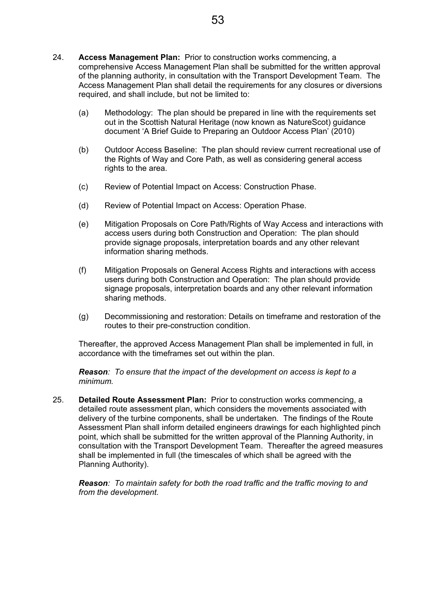- 24. **Access Management Plan:** Prior to construction works commencing, a comprehensive Access Management Plan shall be submitted for the written approval of the planning authority, in consultation with the Transport Development Team. The Access Management Plan shall detail the requirements for any closures or diversions required, and shall include, but not be limited to:
	- (a) Methodology: The plan should be prepared in line with the requirements set out in the Scottish Natural Heritage (now known as NatureScot) guidance document 'A Brief Guide to Preparing an Outdoor Access Plan' (2010)
	- (b) Outdoor Access Baseline: The plan should review current recreational use of the Rights of Way and Core Path, as well as considering general access rights to the area.
	- (c) Review of Potential Impact on Access: Construction Phase.
	- (d) Review of Potential Impact on Access: Operation Phase.
	- (e) Mitigation Proposals on Core Path/Rights of Way Access and interactions with access users during both Construction and Operation: The plan should provide signage proposals, interpretation boards and any other relevant information sharing methods.
	- (f) Mitigation Proposals on General Access Rights and interactions with access users during both Construction and Operation: The plan should provide signage proposals, interpretation boards and any other relevant information sharing methods.
	- (g) Decommissioning and restoration: Details on timeframe and restoration of the routes to their pre-construction condition.

Thereafter, the approved Access Management Plan shall be implemented in full, in accordance with the timeframes set out within the plan.

*Reason: To ensure that the impact of the development on access is kept to a minimum.* 

25. **Detailed Route Assessment Plan:** Prior to construction works commencing, a detailed route assessment plan, which considers the movements associated with delivery of the turbine components, shall be undertaken. The findings of the Route Assessment Plan shall inform detailed engineers drawings for each highlighted pinch point, which shall be submitted for the written approval of the Planning Authority, in consultation with the Transport Development Team. Thereafter the agreed measures shall be implemented in full (the timescales of which shall be agreed with the Planning Authority).

*Reason: To maintain safety for both the road traffic and the traffic moving to and from the development.*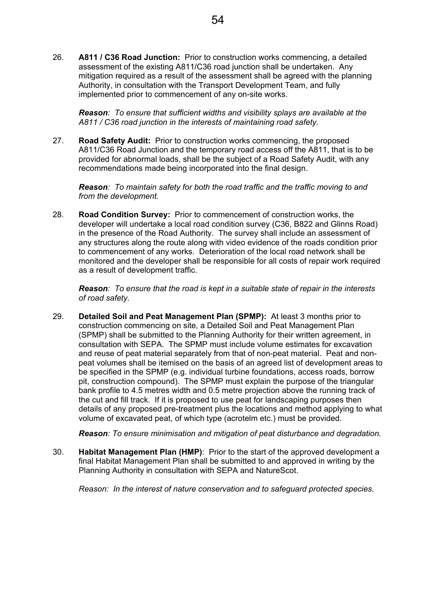26. **A811 / C36 Road Junction:** Prior to construction works commencing, a detailed assessment of the existing A811/C36 road junction shall be undertaken. Any mitigation required as a result of the assessment shall be agreed with the planning Authority, in consultation with the Transport Development Team, and fully implemented prior to commencement of any on-site works.

*Reason: To ensure that sufficient widths and visibility splays are available at the A811 / C36 road junction in the interests of maintaining road safety.* 

27. **Road Safety Audit:** Prior to construction works commencing, the proposed A811/C36 Road Junction and the temporary road access off the A811, that is to be provided for abnormal loads, shall be the subject of a Road Safety Audit, with any recommendations made being incorporated into the final design.

*Reason: To maintain safety for both the road traffic and the traffic moving to and from the development.* 

28. **Road Condition Survey:** Prior to commencement of construction works, the developer will undertake a local road condition survey (C36, B822 and Glinns Road) in the presence of the Road Authority. The survey shall include an assessment of any structures along the route along with video evidence of the roads condition prior to commencement of any works. Deterioration of the local road network shall be monitored and the developer shall be responsible for all costs of repair work required as a result of development traffic.

*Reason: To ensure that the road is kept in a suitable state of repair in the interests of road safety.* 

29. **Detailed Soil and Peat Management Plan (SPMP):** At least 3 months prior to construction commencing on site, a Detailed Soil and Peat Management Plan (SPMP) shall be submitted to the Planning Authority for their written agreement, in consultation with SEPA. The SPMP must include volume estimates for excavation and reuse of peat material separately from that of non-peat material. Peat and nonpeat volumes shall be itemised on the basis of an agreed list of development areas to be specified in the SPMP (e.g. individual turbine foundations, access roads, borrow pit, construction compound). The SPMP must explain the purpose of the triangular bank profile to 4.5 metres width and 0.5 metre projection above the running track of the cut and fill track. If it is proposed to use peat for landscaping purposes then details of any proposed pre-treatment plus the locations and method applying to what volume of excavated peat, of which type (acrotelm etc.) must be provided.

*Reason: To ensure minimisation and mitigation of peat disturbance and degradation.* 

30. **Habitat Management Plan (HMP)**: Prior to the start of the approved development a final Habitat Management Plan shall be submitted to and approved in writing by the Planning Authority in consultation with SEPA and NatureScot.

*Reason: In the interest of nature conservation and to safeguard protected species.*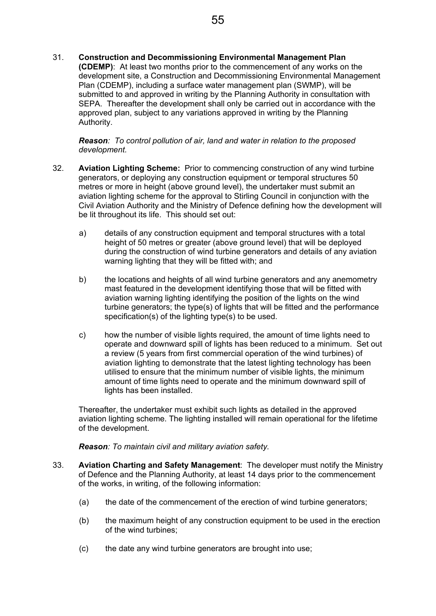31. **Construction and Decommissioning Environmental Management Plan (CDEMP)**: At least two months prior to the commencement of any works on the development site, a Construction and Decommissioning Environmental Management Plan (CDEMP), including a surface water management plan (SWMP), will be submitted to and approved in writing by the Planning Authority in consultation with SEPA. Thereafter the development shall only be carried out in accordance with the approved plan, subject to any variations approved in writing by the Planning Authority.

*Reason: To control pollution of air, land and water in relation to the proposed development.*

- 32. **Aviation Lighting Scheme:** Prior to commencing construction of any wind turbine generators, or deploying any construction equipment or temporal structures 50 metres or more in height (above ground level), the undertaker must submit an aviation lighting scheme for the approval to Stirling Council in conjunction with the Civil Aviation Authority and the Ministry of Defence defining how the development will be lit throughout its life. This should set out:
	- a) details of any construction equipment and temporal structures with a total height of 50 metres or greater (above ground level) that will be deployed during the construction of wind turbine generators and details of any aviation warning lighting that they will be fitted with; and
	- b) the locations and heights of all wind turbine generators and any anemometry mast featured in the development identifying those that will be fitted with aviation warning lighting identifying the position of the lights on the wind turbine generators; the type(s) of lights that will be fitted and the performance specification(s) of the lighting type(s) to be used.
	- c) how the number of visible lights required, the amount of time lights need to operate and downward spill of lights has been reduced to a minimum. Set out a review (5 years from first commercial operation of the wind turbines) of aviation lighting to demonstrate that the latest lighting technology has been utilised to ensure that the minimum number of visible lights, the minimum amount of time lights need to operate and the minimum downward spill of lights has been installed.

Thereafter, the undertaker must exhibit such lights as detailed in the approved aviation lighting scheme. The lighting installed will remain operational for the lifetime of the development.

*Reason: To maintain civil and military aviation safety.* 

- 33. **Aviation Charting and Safety Management**: The developer must notify the Ministry of Defence and the Planning Authority, at least 14 days prior to the commencement of the works, in writing, of the following information:
	- (a) the date of the commencement of the erection of wind turbine generators;
	- (b) the maximum height of any construction equipment to be used in the erection of the wind turbines;
	- (c) the date any wind turbine generators are brought into use;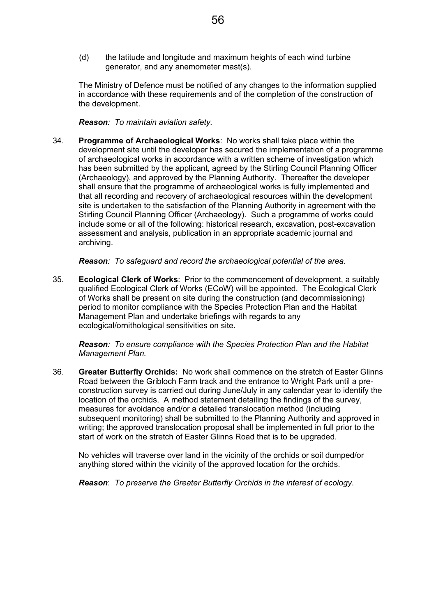(d) the latitude and longitude and maximum heights of each wind turbine generator, and any anemometer mast(s).

The Ministry of Defence must be notified of any changes to the information supplied in accordance with these requirements and of the completion of the construction of the development.

*Reason: To maintain aviation safety.* 

34. **Programme of Archaeological Works**: No works shall take place within the development site until the developer has secured the implementation of a programme of archaeological works in accordance with a written scheme of investigation which has been submitted by the applicant, agreed by the Stirling Council Planning Officer (Archaeology), and approved by the Planning Authority. Thereafter the developer shall ensure that the programme of archaeological works is fully implemented and that all recording and recovery of archaeological resources within the development site is undertaken to the satisfaction of the Planning Authority in agreement with the Stirling Council Planning Officer (Archaeology). Such a programme of works could include some or all of the following: historical research, excavation, post-excavation assessment and analysis, publication in an appropriate academic journal and archiving.

*Reason: To safeguard and record the archaeological potential of the area.* 

35. **Ecological Clerk of Works**: Prior to the commencement of development, a suitably qualified Ecological Clerk of Works (ECoW) will be appointed. The Ecological Clerk of Works shall be present on site during the construction (and decommissioning) period to monitor compliance with the Species Protection Plan and the Habitat Management Plan and undertake briefings with regards to any ecological/ornithological sensitivities on site.

*Reason: To ensure compliance with the Species Protection Plan and the Habitat Management Plan.* 

36. **Greater Butterfly Orchids:** No work shall commence on the stretch of Easter Glinns Road between the Gribloch Farm track and the entrance to Wright Park until a preconstruction survey is carried out during June/July in any calendar year to identify the location of the orchids. A method statement detailing the findings of the survey, measures for avoidance and/or a detailed translocation method (including subsequent monitoring) shall be submitted to the Planning Authority and approved in writing; the approved translocation proposal shall be implemented in full prior to the start of work on the stretch of Easter Glinns Road that is to be upgraded.

No vehicles will traverse over land in the vicinity of the orchids or soil dumped/or anything stored within the vicinity of the approved location for the orchids.

*Reason*: *To preserve the Greater Butterfly Orchids in the interest of ecology*.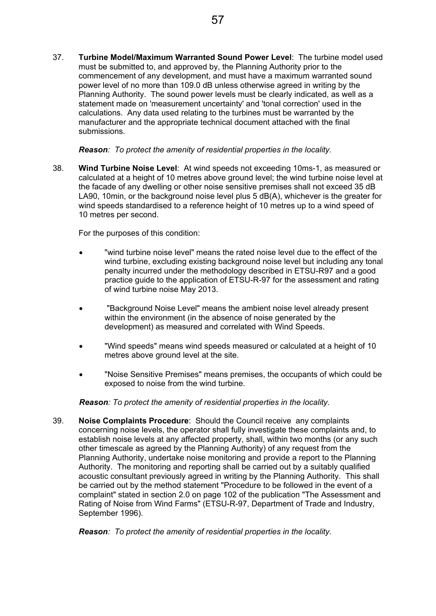37. **Turbine Model/Maximum Warranted Sound Power Level**: The turbine model used must be submitted to, and approved by, the Planning Authority prior to the commencement of any development, and must have a maximum warranted sound power level of no more than 109.0 dB unless otherwise agreed in writing by the Planning Authority. The sound power levels must be clearly indicated, as well as a statement made on 'measurement uncertainty' and 'tonal correction' used in the calculations. Any data used relating to the turbines must be warranted by the manufacturer and the appropriate technical document attached with the final submissions.

*Reason: To protect the amenity of residential properties in the locality.* 

38. **Wind Turbine Noise Level**: At wind speeds not exceeding 10ms-1, as measured or calculated at a height of 10 metres above ground level; the wind turbine noise level at the facade of any dwelling or other noise sensitive premises shall not exceed 35 dB LA90, 10min, or the background noise level plus 5 dB(A), whichever is the greater for wind speeds standardised to a reference height of 10 metres up to a wind speed of 10 metres per second.

For the purposes of this condition:

- "wind turbine noise level" means the rated noise level due to the effect of the wind turbine, excluding existing background noise level but including any tonal penalty incurred under the methodology described in ETSU-R97 and a good practice guide to the application of ETSU-R-97 for the assessment and rating of wind turbine noise May 2013.
- "Background Noise Level" means the ambient noise level already present within the environment (in the absence of noise generated by the development) as measured and correlated with Wind Speeds.
- "Wind speeds" means wind speeds measured or calculated at a height of 10 metres above ground level at the site.
- "Noise Sensitive Premises" means premises, the occupants of which could be exposed to noise from the wind turbine.

*Reason: To protect the amenity of residential properties in the locality.* 

39. **Noise Complaints Procedure**: Should the Council receive any complaints concerning noise levels, the operator shall fully investigate these complaints and, to establish noise levels at any affected property, shall, within two months (or any such other timescale as agreed by the Planning Authority) of any request from the Planning Authority, undertake noise monitoring and provide a report to the Planning Authority. The monitoring and reporting shall be carried out by a suitably qualified acoustic consultant previously agreed in writing by the Planning Authority. This shall be carried out by the method statement "Procedure to be followed in the event of a complaint" stated in section 2.0 on page 102 of the publication "The Assessment and Rating of Noise from Wind Farms" (ETSU-R-97, Department of Trade and Industry, September 1996).

*Reason: To protect the amenity of residential properties in the locality.*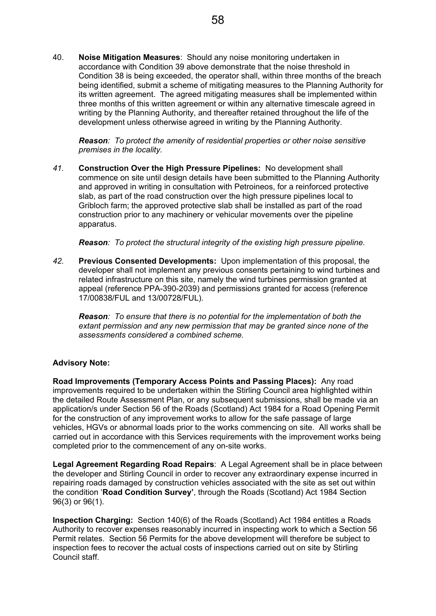40. **Noise Mitigation Measures**: Should any noise monitoring undertaken in accordance with Condition 39 above demonstrate that the noise threshold in Condition 38 is being exceeded, the operator shall, within three months of the breach being identified, submit a scheme of mitigating measures to the Planning Authority for its written agreement. The agreed mitigating measures shall be implemented within three months of this written agreement or within any alternative timescale agreed in writing by the Planning Authority, and thereafter retained throughout the life of the development unless otherwise agreed in writing by the Planning Authority.

*Reason: To protect the amenity of residential properties or other noise sensitive premises in the locality.* 

*41.* **Construction Over the High Pressure Pipelines:** No development shall commence on site until design details have been submitted to the Planning Authority and approved in writing in consultation with Petroineos, for a reinforced protective slab, as part of the road construction over the high pressure pipelines local to Gribloch farm; the approved protective slab shall be installed as part of the road construction prior to any machinery or vehicular movements over the pipeline apparatus.

*Reason: To protect the structural integrity of the existing high pressure pipeline.* 

*42.* **Previous Consented Developments:** Upon implementation of this proposal, the developer shall not implement any previous consents pertaining to wind turbines and related infrastructure on this site, namely the wind turbines permission granted at appeal (reference PPA-390-2039) and permissions granted for access (reference 17/00838/FUL and 13/00728/FUL).

*Reason: To ensure that there is no potential for the implementation of both the extant permission and any new permission that may be granted since none of the assessments considered a combined scheme.* 

#### **Advisory Note:**

**Road Improvements (Temporary Access Points and Passing Places):** Any road improvements required to be undertaken within the Stirling Council area highlighted within the detailed Route Assessment Plan, or any subsequent submissions, shall be made via an application/s under Section 56 of the Roads (Scotland) Act 1984 for a Road Opening Permit for the construction of any improvement works to allow for the safe passage of large vehicles, HGVs or abnormal loads prior to the works commencing on site. All works shall be carried out in accordance with this Services requirements with the improvement works being completed prior to the commencement of any on-site works.

**Legal Agreement Regarding Road Repairs**: A Legal Agreement shall be in place between the developer and Stirling Council in order to recover any extraordinary expense incurred in repairing roads damaged by construction vehicles associated with the site as set out within the condition '**Road Condition Survey'**, through the Roads (Scotland) Act 1984 Section 96(3) or 96(1).

**Inspection Charging:** Section 140(6) of the Roads (Scotland) Act 1984 entitles a Roads Authority to recover expenses reasonably incurred in inspecting work to which a Section 56 Permit relates. Section 56 Permits for the above development will therefore be subject to inspection fees to recover the actual costs of inspections carried out on site by Stirling Council staff.